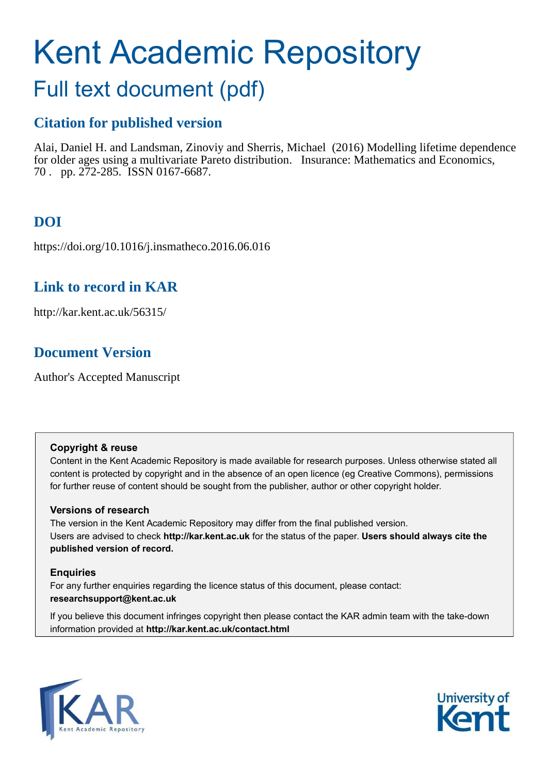# Kent Academic Repository

## Full text document (pdf)

## **Citation for published version**

Alai, Daniel H. and Landsman, Zinoviy and Sherris, Michael (2016) Modelling lifetime dependence for older ages using a multivariate Pareto distribution. Insurance: Mathematics and Economics, 70 . pp. 272-285. ISSN 0167-6687.

## **DOI**

https://doi.org/10.1016/j.insmatheco.2016.06.016

## **Link to record in KAR**

http://kar.kent.ac.uk/56315/

## **Document Version**

Author's Accepted Manuscript

#### **Copyright & reuse**

Content in the Kent Academic Repository is made available for research purposes. Unless otherwise stated all content is protected by copyright and in the absence of an open licence (eg Creative Commons), permissions for further reuse of content should be sought from the publisher, author or other copyright holder.

#### **Versions of research**

The version in the Kent Academic Repository may differ from the final published version. Users are advised to check **http://kar.kent.ac.uk** for the status of the paper. **Users should always cite the published version of record.**

#### **Enquiries**

For any further enquiries regarding the licence status of this document, please contact: **researchsupport@kent.ac.uk**

If you believe this document infringes copyright then please contact the KAR admin team with the take-down information provided at **http://kar.kent.ac.uk/contact.html**



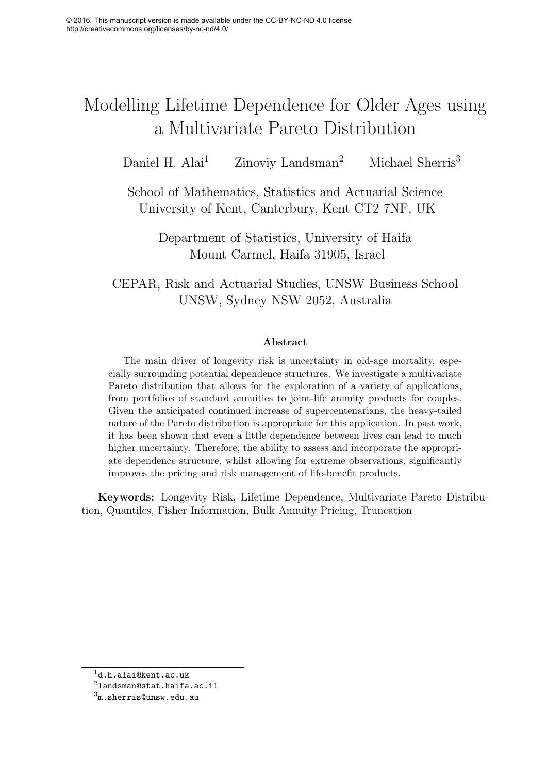## Modelling Lifetime Dependence for Older Ages using a Multivariate Pareto Distribution

Daniel H. Alai<sup>1</sup> Zinoviy Landsman<sup>2</sup> Michael Sherris<sup>3</sup>

School of Mathematics, Statistics and Actuarial Science University of Kent, Canterbury, Kent CT2 7NF, UK

Department of Statistics, University of Haifa Mount Carmel, Haifa 31905, Israel

CEPAR, Risk and Actuarial Studies, UNSW Business School UNSW, Sydney NSW 2052, Australia

#### Abstract

The main driver of longevity risk is uncertainty in old-age mortality, especially surrounding potential dependence structures. We investigate a multivariate Pareto distribution that allows for the exploration of a variety of applications, from portfolios of standard annuities to joint-life annuity products for couples. Given the anticipated continued increase of supercentenarians, the heavy-tailed nature of the Pareto distribution is appropriate for this application. In past work, it has been shown that even a little dependence between lives can lead to much higher uncertainty. Therefore, the ability to assess and incorporate the appropriate dependence structure, whilst allowing for extreme observations, significantly improves the pricing and risk management of life-benefit products.

Keywords: Longevity Risk, Lifetime Dependence, Multivariate Pareto Distribution, Quantiles, Fisher Information, Bulk Annuity Pricing, Truncation

<sup>1</sup>d.h.alai@kent.ac.uk

 $^2$ landsman@stat.haifa.ac.il

 $3<sub>m.s</sub>$ herris@unsw.edu.au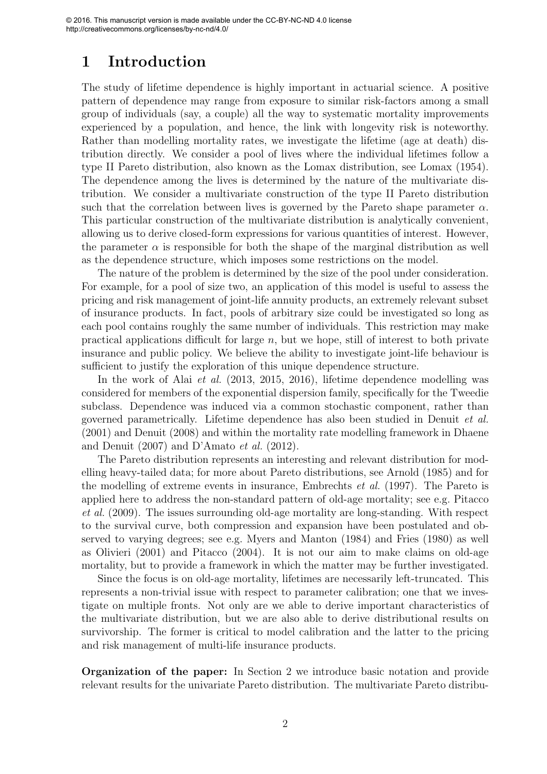## 1 Introduction

The study of lifetime dependence is highly important in actuarial science. A positive pattern of dependence may range from exposure to similar risk-factors among a small group of individuals (say, a couple) all the way to systematic mortality improvements experienced by a population, and hence, the link with longevity risk is noteworthy. Rather than modelling mortality rates, we investigate the lifetime (age at death) distribution directly. We consider a pool of lives where the individual lifetimes follow a type II Pareto distribution, also known as the Lomax distribution, see Lomax (1954). The dependence among the lives is determined by the nature of the multivariate distribution. We consider a multivariate construction of the type II Pareto distribution such that the correlation between lives is governed by the Pareto shape parameter  $\alpha$ . This particular construction of the multivariate distribution is analytically convenient, allowing us to derive closed-form expressions for various quantities of interest. However, the parameter  $\alpha$  is responsible for both the shape of the marginal distribution as well as the dependence structure, which imposes some restrictions on the model.

The nature of the problem is determined by the size of the pool under consideration. For example, for a pool of size two, an application of this model is useful to assess the pricing and risk management of joint-life annuity products, an extremely relevant subset of insurance products. In fact, pools of arbitrary size could be investigated so long as each pool contains roughly the same number of individuals. This restriction may make practical applications difficult for large  $n$ , but we hope, still of interest to both private insurance and public policy. We believe the ability to investigate joint-life behaviour is sufficient to justify the exploration of this unique dependence structure.

In the work of Alai *et al.* (2013, 2015, 2016), lifetime dependence modelling was considered for members of the exponential dispersion family, specifically for the Tweedie subclass. Dependence was induced via a common stochastic component, rather than governed parametrically. Lifetime dependence has also been studied in Denuit *et al.* (2001) and Denuit (2008) and within the mortality rate modelling framework in Dhaene and Denuit (2007) and D'Amato *et al.* (2012).

The Pareto distribution represents an interesting and relevant distribution for modelling heavy-tailed data; for more about Pareto distributions, see Arnold (1985) and for the modelling of extreme events in insurance, Embrechts *et al.* (1997). The Pareto is applied here to address the non-standard pattern of old-age mortality; see e.g. Pitacco *et al.* (2009). The issues surrounding old-age mortality are long-standing. With respect to the survival curve, both compression and expansion have been postulated and observed to varying degrees; see e.g. Myers and Manton (1984) and Fries (1980) as well as Olivieri (2001) and Pitacco (2004). It is not our aim to make claims on old-age mortality, but to provide a framework in which the matter may be further investigated.

Since the focus is on old-age mortality, lifetimes are necessarily left-truncated. This represents a non-trivial issue with respect to parameter calibration; one that we investigate on multiple fronts. Not only are we able to derive important characteristics of the multivariate distribution, but we are also able to derive distributional results on survivorship. The former is critical to model calibration and the latter to the pricing and risk management of multi-life insurance products.

Organization of the paper: In Section 2 we introduce basic notation and provide relevant results for the univariate Pareto distribution. The multivariate Pareto distribu-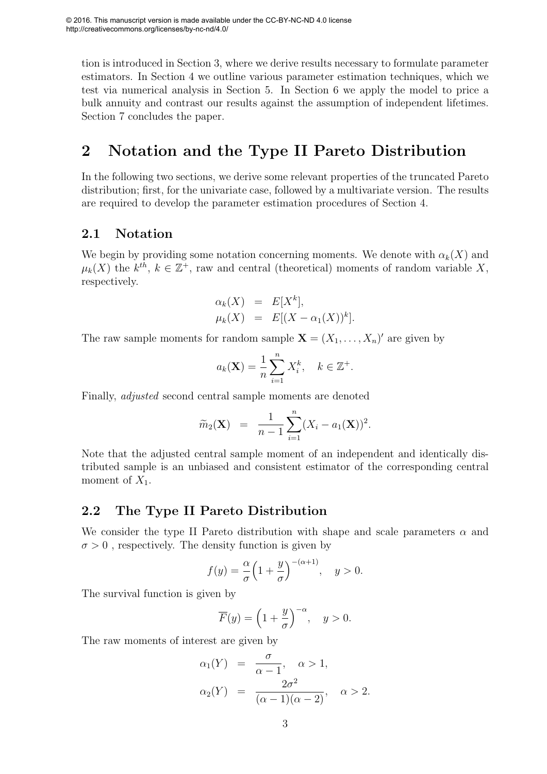tion is introduced in Section 3, where we derive results necessary to formulate parameter estimators. In Section 4 we outline various parameter estimation techniques, which we test via numerical analysis in Section 5. In Section 6 we apply the model to price a bulk annuity and contrast our results against the assumption of independent lifetimes. Section 7 concludes the paper.

## 2 Notation and the Type II Pareto Distribution

In the following two sections, we derive some relevant properties of the truncated Pareto distribution; first, for the univariate case, followed by a multivariate version. The results are required to develop the parameter estimation procedures of Section 4.

#### 2.1 Notation

We begin by providing some notation concerning moments. We denote with  $\alpha_k(X)$  and  $\mu_k(X)$  the  $k^{th}$ ,  $k \in \mathbb{Z}^+$ , raw and central (theoretical) moments of random variable X, respectively.

$$
\alpha_k(X) = E[X^k],
$$
  
\n
$$
\mu_k(X) = E[(X - \alpha_1(X))^k].
$$

The raw sample moments for random sample  $\mathbf{X} = (X_1, \ldots, X_n)'$  are given by

$$
a_k(\mathbf{X}) = \frac{1}{n} \sum_{i=1}^n X_i^k, \quad k \in \mathbb{Z}^+.
$$

Finally, *adjusted* second central sample moments are denoted

$$
\widetilde{m}_2(\mathbf{X}) = \frac{1}{n-1} \sum_{i=1}^n (X_i - a_1(\mathbf{X}))^2.
$$

Note that the adjusted central sample moment of an independent and identically distributed sample is an unbiased and consistent estimator of the corresponding central moment of  $X_1$ .

#### 2.2 The Type II Pareto Distribution

We consider the type II Pareto distribution with shape and scale parameters  $\alpha$  and  $\sigma > 0$ , respectively. The density function is given by

$$
f(y) = \frac{\alpha}{\sigma} \left( 1 + \frac{y}{\sigma} \right)^{-(\alpha+1)}, \quad y > 0.
$$

The survival function is given by

$$
\overline{F}(y) = \left(1 + \frac{y}{\sigma}\right)^{-\alpha}, \quad y > 0.
$$

The raw moments of interest are given by

$$
\alpha_1(Y) = \frac{\sigma}{\alpha - 1}, \quad \alpha > 1,
$$
  
\n
$$
\alpha_2(Y) = \frac{2\sigma^2}{(\alpha - 1)(\alpha - 2)}, \quad \alpha > 2.
$$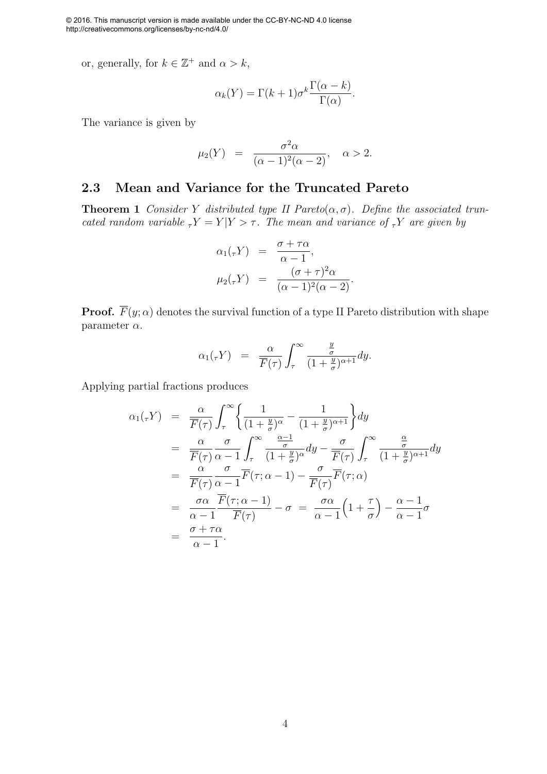or, generally, for  $k \in \mathbb{Z}^+$  and  $\alpha > k$ ,

$$
\alpha_k(Y) = \Gamma(k+1)\sigma^k \frac{\Gamma(\alpha-k)}{\Gamma(\alpha)}.
$$

The variance is given by

$$
\mu_2(Y) = \frac{\sigma^2 \alpha}{(\alpha - 1)^2 (\alpha - 2)}, \quad \alpha > 2.
$$

#### 2.3 Mean and Variance for the Truncated Pareto

**Theorem 1** *Consider* Y *distributed type II Pareto* $(\alpha, \sigma)$ *. Define the associated truncated random variable*  $T_Y = Y | Y > \tau$ . The mean and variance of  $T_Y$  are given by

$$
\alpha_1(\tau Y) = \frac{\sigma + \tau \alpha}{\alpha - 1},
$$
  
\n
$$
\mu_2(\tau Y) = \frac{(\sigma + \tau)^2 \alpha}{(\alpha - 1)^2 (\alpha - 2)}.
$$

**Proof.**  $\overline{F}(y; \alpha)$  denotes the survival function of a type II Pareto distribution with shape parameter  $\alpha$ .

$$
\alpha_1(\tau Y) = \frac{\alpha}{\overline{F}(\tau)} \int_{\tau}^{\infty} \frac{\frac{y}{\sigma}}{(1+\frac{y}{\sigma})^{\alpha+1}} dy.
$$

Applying partial fractions produces

$$
\alpha_1(\tau Y) = \frac{\alpha}{\overline{F}(\tau)} \int_{\tau}^{\infty} \left\{ \frac{1}{(1 + \frac{y}{\sigma})^{\alpha}} - \frac{1}{(1 + \frac{y}{\sigma})^{\alpha+1}} \right\} dy
$$
  
\n
$$
= \frac{\alpha}{\overline{F}(\tau)} \frac{\sigma}{\alpha - 1} \int_{\tau}^{\infty} \frac{\frac{\alpha - 1}{\sigma}}{(1 + \frac{y}{\sigma})^{\alpha}} dy - \frac{\sigma}{\overline{F}(\tau)} \int_{\tau}^{\infty} \frac{\frac{\alpha}{\sigma}}{(1 + \frac{y}{\sigma})^{\alpha+1}} dy
$$
  
\n
$$
= \frac{\alpha}{\overline{F}(\tau)} \frac{\sigma}{\alpha - 1} \overline{F}(\tau; \alpha - 1) - \frac{\sigma}{\overline{F}(\tau)} \overline{F}(\tau; \alpha)
$$
  
\n
$$
= \frac{\sigma \alpha}{\alpha - 1} \frac{\overline{F}(\tau; \alpha - 1)}{\overline{F}(\tau)} - \sigma = \frac{\sigma \alpha}{\alpha - 1} \left( 1 + \frac{\tau}{\sigma} \right) - \frac{\alpha - 1}{\alpha - 1} \sigma
$$
  
\n
$$
= \frac{\sigma + \tau \alpha}{\alpha - 1}.
$$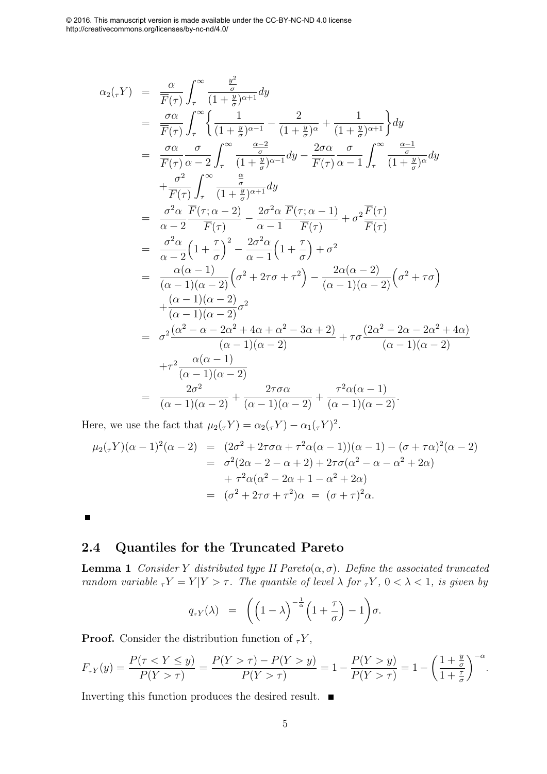$$
\alpha_{2}(\tau Y) = \frac{\alpha}{\overline{F}(\tau)} \int_{\tau}^{\infty} \frac{\frac{y^{2}}{(1+y^{2})^{\alpha+1}} dy
$$
\n
$$
= \frac{\sigma \alpha}{\overline{F}(\tau)} \int_{\tau}^{\infty} \left\{ \frac{1}{(1+\frac{y}{\sigma})^{\alpha-1}} - \frac{2}{(1+\frac{y}{\sigma})^{\alpha}} + \frac{1}{(1+\frac{y}{\sigma})^{\alpha+1}} \right\} dy
$$
\n
$$
= \frac{\sigma \alpha}{\overline{F}(\tau)} \frac{\sigma}{\alpha-2} \int_{\tau}^{\infty} \frac{\frac{\alpha-2}{\sigma}}{(1+\frac{y}{\sigma})^{\alpha-1}} dy - \frac{2\sigma \alpha}{\overline{F}(\tau)} \frac{\sigma}{\alpha-1} \int_{\tau}^{\infty} \frac{\frac{\alpha-1}{\sigma}}{(1+\frac{y}{\sigma})^{\alpha}} dy
$$
\n
$$
+ \frac{\sigma^{2}}{\overline{F}(\tau)} \int_{\tau}^{\infty} \frac{\frac{\alpha}{\sigma}}{(1+\frac{y}{\sigma})^{\alpha+1}} dy
$$
\n
$$
= \frac{\sigma^{2} \alpha}{\alpha-2} \overline{F}(\tau; \alpha-2) - \frac{2\sigma^{2} \alpha}{\alpha-1} \overline{F}(\tau; \alpha-1) + \sigma^{2} \overline{F}(\tau)
$$
\n
$$
= \frac{\sigma^{2} \alpha}{\alpha-2} (1+\frac{\tau}{\sigma})^{2} - \frac{2\sigma^{2} \alpha}{\alpha-1} (1+\frac{\tau}{\sigma}) + \sigma^{2}
$$
\n
$$
= \frac{\alpha(\alpha-1)}{(\alpha-1)(\alpha-2)} (\sigma^{2}+2\tau\sigma+\tau^{2}) - \frac{2\alpha(\alpha-2)}{(\alpha-1)(\alpha-2)} (\sigma^{2}+\tau\sigma)
$$
\n
$$
+ \frac{(\alpha-1)(\alpha-2)}{(\alpha-1)(\alpha-2)} \sigma^{2}
$$
\n
$$
= \sigma^{2} \frac{(\alpha^{2}-\alpha-2\alpha^{2}+4\alpha+\alpha^{2}-3\alpha+2)}{(\alpha-1)(\alpha-2)} + \tau \sigma \frac{(2\alpha^{2}-2\alpha-2\alpha^{2}+4\alpha)}{(\alpha-1)(\alpha-2)}
$$
\n

Here, we use the fact that  $\mu_2(\tau Y) = \alpha_2(\tau Y) - \alpha_1(\tau Y)^2$ .

$$
\mu_2(\tau Y)(\alpha - 1)^2(\alpha - 2) = (2\sigma^2 + 2\tau\sigma\alpha + \tau^2\alpha(\alpha - 1))(\alpha - 1) - (\sigma + \tau\alpha)^2(\alpha - 2)
$$
  
=  $\sigma^2(2\alpha - 2 - \alpha + 2) + 2\tau\sigma(\alpha^2 - \alpha - \alpha^2 + 2\alpha)$   
+  $\tau^2\alpha(\alpha^2 - 2\alpha + 1 - \alpha^2 + 2\alpha)$   
=  $(\sigma^2 + 2\tau\sigma + \tau^2)\alpha = (\sigma + \tau)^2\alpha.$ 

 $\blacksquare$ 

#### 2.4 Quantiles for the Truncated Pareto

**Lemma 1** *Consider* Y *distributed type II Pareto*( $\alpha$ , $\sigma$ )*. Define the associated truncated random variable*  $\tau Y = Y | Y > \tau$ . The quantile of level  $\lambda$  for  $\tau Y$ ,  $0 < \lambda < 1$ , is given by

$$
q_{\tau Y}(\lambda) = \left( \left( 1 - \lambda \right)^{-\frac{1}{\alpha}} \left( 1 + \frac{\tau}{\sigma} \right) - 1 \right) \sigma.
$$

**Proof.** Consider the distribution function of  $\tau Y$ ,

$$
F_{\tau Y}(y) = \frac{P(\tau < Y \le y)}{P(Y > \tau)} = \frac{P(Y > \tau) - P(Y > y)}{P(Y > \tau)} = 1 - \frac{P(Y > y)}{P(Y > \tau)} = 1 - \left(\frac{1 + \frac{y}{\sigma}}{1 + \frac{\tau}{\sigma}}\right)^{-\alpha}.
$$

Inverting this function produces the desired result.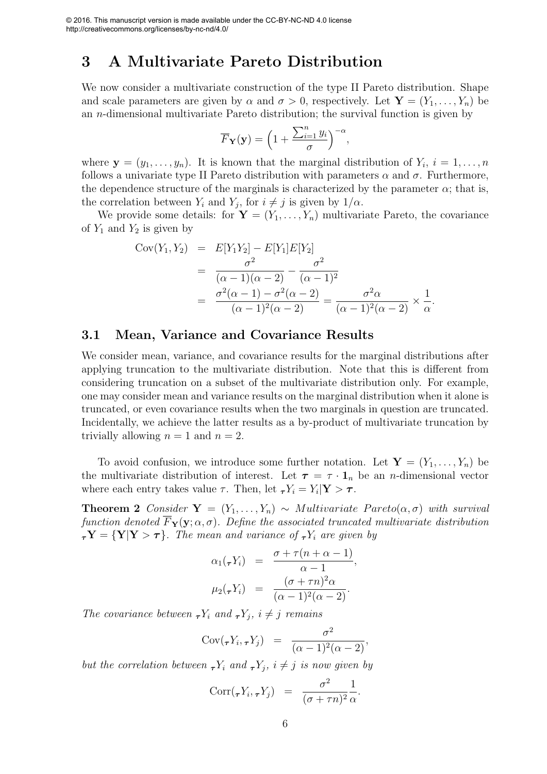## 3 A Multivariate Pareto Distribution

We now consider a multivariate construction of the type II Pareto distribution. Shape and scale parameters are given by  $\alpha$  and  $\sigma > 0$ , respectively. Let  $\mathbf{Y} = (Y_1, \ldots, Y_n)$  be an  $n$ -dimensional multivariate Pareto distribution; the survival function is given by

$$
\overline{F}_{\mathbf{Y}}(\mathbf{y}) = \left(1 + \frac{\sum_{i=1}^{n} y_i}{\sigma}\right)^{-\alpha},
$$

where  $\mathbf{y} = (y_1, \ldots, y_n)$ . It is known that the marginal distribution of  $Y_i$ ,  $i = 1, \ldots, n$ follows a univariate type II Pareto distribution with parameters  $\alpha$  and  $\sigma$ . Furthermore, the dependence structure of the marginals is characterized by the parameter  $\alpha$ ; that is, the correlation between  $Y_i$  and  $Y_j$ , for  $i \neq j$  is given by  $1/\alpha$ .

We provide some details: for  $\mathbf{Y} = (Y_1, \ldots, Y_n)$  multivariate Pareto, the covariance of  $Y_1$  and  $Y_2$  is given by

$$
Cov(Y_1, Y_2) = E[Y_1Y_2] - E[Y_1]E[Y_2]
$$
  
= 
$$
\frac{\sigma^2}{(\alpha - 1)(\alpha - 2)} - \frac{\sigma^2}{(\alpha - 1)^2}
$$
  
= 
$$
\frac{\sigma^2(\alpha - 1) - \sigma^2(\alpha - 2)}{(\alpha - 1)^2(\alpha - 2)} = \frac{\sigma^2\alpha}{(\alpha - 1)^2(\alpha - 2)} \times \frac{1}{\alpha}.
$$

#### 3.1 Mean, Variance and Covariance Results

We consider mean, variance, and covariance results for the marginal distributions after applying truncation to the multivariate distribution. Note that this is different from considering truncation on a subset of the multivariate distribution only. For example, one may consider mean and variance results on the marginal distribution when it alone is truncated, or even covariance results when the two marginals in question are truncated. Incidentally, we achieve the latter results as a by-product of multivariate truncation by trivially allowing  $n = 1$  and  $n = 2$ .

To avoid confusion, we introduce some further notation. Let  $\mathbf{Y} = (Y_1, \ldots, Y_n)$  be the multivariate distribution of interest. Let  $\tau = \tau \cdot 1_n$  be an *n*-dimensional vector where each entry takes value  $\tau$ . Then, let  ${}_{\tau}Y_i = Y_i | \mathbf{Y} > \tau$ .

**Theorem 2** *Consider*  $Y = (Y_1, \ldots, Y_n) \sim Multivariate$  *Pareto* $(\alpha, \sigma)$  *with survival function denoted*  $\overline{F}_{Y}(y; \alpha, \sigma)$ *. Define the associated truncated multivariate distribution*  $\tau_Y = \{Y|Y > \tau\}$ *. The mean and variance of*  $\tau Y_i$  *are given by* 

$$
\alpha_1(\tau Y_i) = \frac{\sigma + \tau(n+\alpha-1)}{\alpha-1},
$$

$$
\mu_2(\tau Y_i) = \frac{(\sigma + \tau n)^2 \alpha}{(\alpha-1)^2(\alpha-2)}.
$$

*The covariance between*  $\tau Y_i$  *and*  $\tau Y_j$ *,*  $i \neq j$  *remains* 

$$
Cov(\tau Y_i, \tau Y_j) = \frac{\sigma^2}{(\alpha - 1)^2(\alpha - 2)},
$$

*but the correlation between*  $\tau Y_i$  *and*  $\tau Y_j$ *,*  $i \neq j$  *is now given by* 

$$
Corr(\tau Y_i, \tau Y_j) = \frac{\sigma^2}{(\sigma + \tau n)^2} \frac{1}{\alpha}.
$$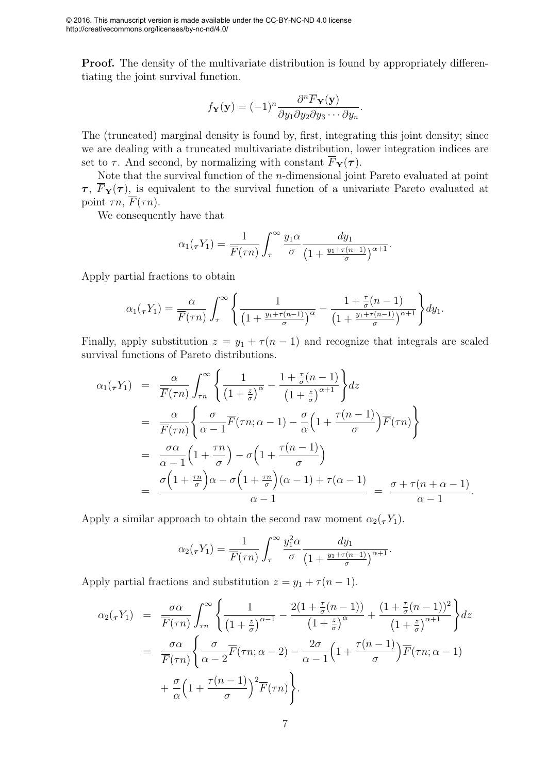**Proof.** The density of the multivariate distribution is found by appropriately differentiating the joint survival function.

$$
f_{\mathbf{Y}}(\mathbf{y}) = (-1)^n \frac{\partial^n \overline{F}_{\mathbf{Y}}(\mathbf{y})}{\partial y_1 \partial y_2 \partial y_3 \cdots \partial y_n}.
$$

The (truncated) marginal density is found by, first, integrating this joint density; since we are dealing with a truncated multivariate distribution, lower integration indices are set to  $\tau$ . And second, by normalizing with constant  $\overline{F}_{\mathbf{Y}}(\tau)$ .

Note that the survival function of the n-dimensional joint Pareto evaluated at point  $\tau$ ,  $\overline{F}_{\mathbf{Y}}(\tau)$ , is equivalent to the survival function of a univariate Pareto evaluated at point  $\tau n$ ,  $\overline{F}(\tau n)$ .

We consequently have that

$$
\alpha_1(\tau Y_1) = \frac{1}{\overline{F}(\tau n)} \int_{\tau}^{\infty} \frac{y_1 \alpha}{\sigma} \frac{dy_1}{\left(1 + \frac{y_1 + \tau (n-1)}{\sigma}\right)^{\alpha+1}}.
$$

Apply partial fractions to obtain

$$
\alpha_1(\tau Y_1) = \frac{\alpha}{\overline{F}(\tau n)} \int_{\tau}^{\infty} \left\{ \frac{1}{\left(1 + \frac{y_1 + \tau(n-1)}{\sigma}\right)^{\alpha}} - \frac{1 + \frac{\tau}{\sigma}(n-1)}{\left(1 + \frac{y_1 + \tau(n-1)}{\sigma}\right)^{\alpha+1}} \right\} dy_1.
$$

Finally, apply substitution  $z = y_1 + \tau (n - 1)$  and recognize that integrals are scaled survival functions of Pareto distributions.

$$
\alpha_1(\tau Y_1) = \frac{\alpha}{\overline{F}(\tau n)} \int_{\tau n}^{\infty} \left\{ \frac{1}{\left(1 + \frac{z}{\sigma}\right)^{\alpha}} - \frac{1 + \frac{\tau}{\sigma}(n-1)}{\left(1 + \frac{z}{\sigma}\right)^{\alpha+1}} \right\} dz
$$
  
\n
$$
= \frac{\alpha}{\overline{F}(\tau n)} \left\{ \frac{\sigma}{\alpha - 1} \overline{F}(\tau n; \alpha - 1) - \frac{\sigma}{\alpha} \left(1 + \frac{\tau(n-1)}{\sigma}\right) \overline{F}(\tau n) \right\}
$$
  
\n
$$
= \frac{\sigma \alpha}{\alpha - 1} \left(1 + \frac{\tau n}{\sigma}\right) - \sigma \left(1 + \frac{\tau(n-1)}{\sigma}\right)
$$
  
\n
$$
= \frac{\sigma \left(1 + \frac{\tau n}{\sigma}\right) \alpha - \sigma \left(1 + \frac{\tau n}{\sigma}\right) (\alpha - 1) + \tau (\alpha - 1)}{\alpha - 1} = \frac{\sigma + \tau (n + \alpha - 1)}{\alpha - 1}.
$$

Apply a similar approach to obtain the second raw moment  $\alpha_2(\tau Y_1)$ .

$$
\alpha_2(\tau Y_1) = \frac{1}{\overline{F}(\tau n)} \int_{\tau}^{\infty} \frac{y_1^2 \alpha}{\sigma} \frac{dy_1}{\left(1 + \frac{y_1 + \tau (n-1)}{\sigma}\right)^{\alpha+1}}.
$$

Apply partial fractions and substitution  $z = y_1 + \tau (n - 1)$ .

$$
\alpha_2(\tau Y_1) = \frac{\sigma \alpha}{\overline{F}(\tau n)} \int_{\tau n}^{\infty} \left\{ \frac{1}{\left(1 + \frac{z}{\sigma}\right)^{\alpha - 1}} - \frac{2\left(1 + \frac{\tau}{\sigma}(n - 1)\right)}{\left(1 + \frac{z}{\sigma}\right)^{\alpha}} + \frac{\left(1 + \frac{\tau}{\sigma}(n - 1)\right)^2}{\left(1 + \frac{z}{\sigma}\right)^{\alpha + 1}} \right\} dz
$$
  
\n
$$
= \frac{\sigma \alpha}{\overline{F}(\tau n)} \left\{ \frac{\sigma}{\alpha - 2} \overline{F}(\tau n; \alpha - 2) - \frac{2\sigma}{\alpha - 1} \left(1 + \frac{\tau(n - 1)}{\sigma}\right) \overline{F}(\tau n; \alpha - 1) + \frac{\sigma}{\alpha} \left(1 + \frac{\tau(n - 1)}{\sigma}\right)^2 \overline{F}(\tau n) \right\}.
$$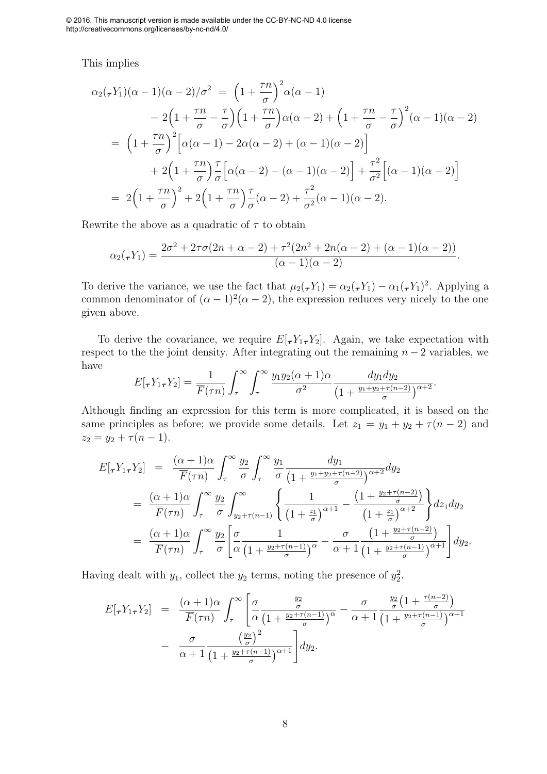This implies

$$
\alpha_2(\tau Y_1)(\alpha - 1)(\alpha - 2)/\sigma^2 = \left(1 + \frac{\tau n}{\sigma}\right)^2 \alpha(\alpha - 1)
$$
  
\n
$$
-2\left(1 + \frac{\tau n}{\sigma} - \frac{\tau}{\sigma}\right)\left(1 + \frac{\tau n}{\sigma}\right)\alpha(\alpha - 2) + \left(1 + \frac{\tau n}{\sigma} - \frac{\tau}{\sigma}\right)^2(\alpha - 1)(\alpha - 2)
$$
  
\n
$$
= \left(1 + \frac{\tau n}{\sigma}\right)^2 \left[\alpha(\alpha - 1) - 2\alpha(\alpha - 2) + (\alpha - 1)(\alpha - 2)\right]
$$
  
\n
$$
+ 2\left(1 + \frac{\tau n}{\sigma}\right)\frac{\tau}{\sigma}\left[\alpha(\alpha - 2) - (\alpha - 1)(\alpha - 2)\right] + \frac{\tau^2}{\sigma^2}\left[(\alpha - 1)(\alpha - 2)\right]
$$
  
\n
$$
= 2\left(1 + \frac{\tau n}{\sigma}\right)^2 + 2\left(1 + \frac{\tau n}{\sigma}\right)\frac{\tau}{\sigma}(\alpha - 2) + \frac{\tau^2}{\sigma^2}(\alpha - 1)(\alpha - 2).
$$

Rewrite the above as a quadratic of  $\tau$  to obtain

$$
\alpha_2(\tau Y_1) = \frac{2\sigma^2 + 2\tau\sigma(2n + \alpha - 2) + \tau^2(2n^2 + 2n(\alpha - 2) + (\alpha - 1)(\alpha - 2))}{(\alpha - 1)(\alpha - 2)}.
$$

To derive the variance, we use the fact that  $\mu_2(\tau Y_1) = \alpha_2(\tau Y_1) - \alpha_1(\tau Y_1)^2$ . Applying a common denominator of  $(\alpha - 1)^2(\alpha - 2)$ , the expression reduces very nicely to the one given above.

To derive the covariance, we require  $E[\tau Y_{1\tau}Y_{2}]$ . Again, we take expectation with respect to the the joint density. After integrating out the remaining  $n-2$  variables, we have

$$
E[\tau Y_1 \tau Y_2] = \frac{1}{\overline{F}(\tau n)} \int_{\tau}^{\infty} \int_{\tau}^{\infty} \frac{y_1 y_2(\alpha + 1)\alpha}{\sigma^2} \frac{dy_1 dy_2}{\left(1 + \frac{y_1 + y_2 + \tau(n-2)}{\sigma}\right)^{\alpha + 2}}.
$$

Although finding an expression for this term is more complicated, it is based on the same principles as before; we provide some details. Let  $z_1 = y_1 + y_2 + \tau (n-2)$  and  $z_2 = y_2 + \tau (n - 1).$ 

$$
E[\tau Y_1 \tau Y_2] = \frac{(\alpha + 1)\alpha}{\overline{F}(\tau n)} \int_{\tau}^{\infty} \frac{y_2}{\sigma} \int_{\tau}^{\infty} \frac{y_1}{\sigma} \frac{dy_1}{\left(1 + \frac{y_1 + y_2 + \tau(n-2)}{\sigma}\right)^{\alpha+2}} dy_2
$$
  

$$
= \frac{(\alpha + 1)\alpha}{\overline{F}(\tau n)} \int_{\tau}^{\infty} \frac{y_2}{\sigma} \int_{y_2 + \tau(n-1)}^{\infty} \left\{ \frac{1}{\left(1 + \frac{z_1}{\sigma}\right)^{\alpha+1}} - \frac{\left(1 + \frac{y_2 + \tau(n-2)}{\sigma}\right)}{\left(1 + \frac{z_1}{\sigma}\right)^{\alpha+2}} \right\} dz_1 dy_2
$$
  

$$
= \frac{(\alpha + 1)\alpha}{\overline{F}(\tau n)} \int_{\tau}^{\infty} \frac{y_2}{\sigma} \left[ \frac{\sigma}{\alpha} \frac{1}{\left(1 + \frac{y_2 + \tau(n-1)}{\sigma}\right)^{\alpha}} - \frac{\sigma}{\alpha + 1} \frac{\left(1 + \frac{y_2 + \tau(n-2)}{\sigma}\right)}{\left(1 + \frac{y_2 + \tau(n-1)}{\sigma}\right)^{\alpha+1}} \right] dy_2.
$$

Having dealt with  $y_1$ , collect the  $y_2$  terms, noting the presence of  $y_2^2$ .

$$
E[\tau Y_1 \tau Y_2] = \frac{(\alpha+1)\alpha}{\overline{F}(\tau n)} \int_{\tau}^{\infty} \left[ \frac{\sigma}{\alpha} \frac{\frac{y_2}{\sigma}}{\left(1+\frac{y_2+\tau(n-1)}{\sigma}\right)^{\alpha}} - \frac{\sigma}{\alpha+1} \frac{\frac{y_2}{\sigma}\left(1+\frac{\tau(n-2)}{\sigma}\right)}{\left(1+\frac{y_2+\tau(n-1)}{\sigma}\right)^{\alpha+1}} - \frac{\sigma}{\alpha+1} \frac{\left(\frac{y_2}{\sigma}\right)^2}{\left(1+\frac{y_2+\tau(n-1)}{\sigma}\right)^{\alpha+1}} \right] dy_2.
$$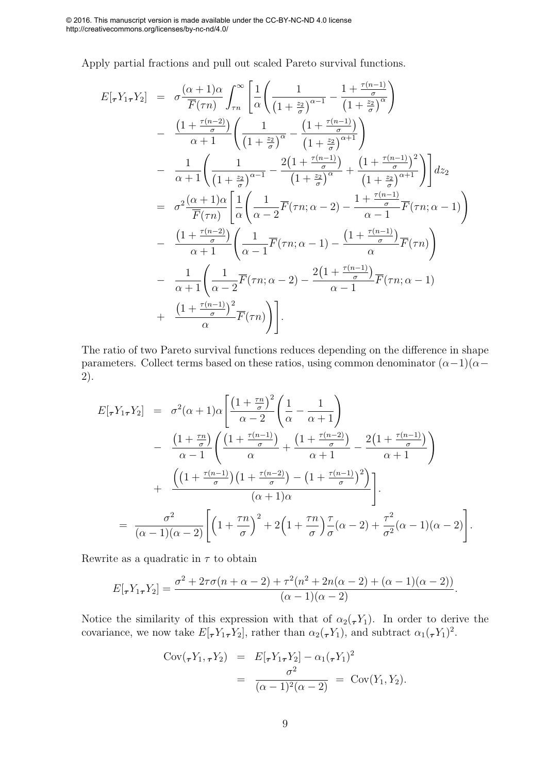Apply partial fractions and pull out scaled Pareto survival functions.

$$
E[\tau Y_1 \tau Y_2] = \sigma \frac{(\alpha+1)\alpha}{\overline{F}(\tau n)} \int_{\tau n}^{\infty} \left[ \frac{1}{\alpha} \left( \frac{1}{\left(1+\frac{z_2}{\sigma}\right)^{\alpha-1}} - \frac{1+\frac{\tau(n-1)}{\sigma}}{\left(1+\frac{z_2}{\sigma}\right)^{\alpha}} \right) \right] - \frac{\left(1+\frac{\tau(n-2)}{\sigma}\right)}{\alpha+1} \left( \frac{1}{\left(1+\frac{z_2}{\sigma}\right)^{\alpha}} - \frac{\left(1+\frac{\tau(n-1)}{\sigma}\right)}{\left(1+\frac{z_2}{\sigma}\right)^{\alpha+1}} \right) - \frac{1}{\alpha+1} \left( \frac{1}{\left(1+\frac{z_2}{\sigma}\right)^{\alpha-1}} - \frac{2\left(1+\frac{\tau(n-1)}{\sigma}\right)}{\left(1+\frac{z_2}{\sigma}\right)^{\alpha}} + \frac{\left(1+\frac{\tau(n-1)}{\sigma}\right)^2}{\left(1+\frac{z_2}{\sigma}\right)^{\alpha+1}} \right) dz_2
$$
  
\n
$$
= \sigma^2 \frac{(\alpha+1)\alpha}{\overline{F}(\tau n)} \left[ \frac{1}{\alpha} \left( \frac{1}{\alpha-2} \overline{F}(\tau n; \alpha-2) - \frac{1+\frac{\tau(n-1)}{\sigma}}{\alpha-1} \overline{F}(\tau n; \alpha-1) \right) \right)
$$
  
\n
$$
- \frac{\left(1+\frac{\tau(n-2)}{\sigma}\right)}{\alpha+1} \left( \frac{1}{\alpha-1} \overline{F}(\tau n; \alpha-1) - \frac{\left(1+\frac{\tau(n-1)}{\sigma}\right)}{\alpha} \overline{F}(\tau n) \right)
$$
  
\n
$$
- \frac{1}{\alpha+1} \left( \frac{1}{\alpha-2} \overline{F}(\tau n; \alpha-2) - \frac{2\left(1+\frac{\tau(n-1)}{\sigma}\right)}{\alpha-1} \overline{F}(\tau n; \alpha-1) + \frac{\left(1+\frac{\tau(n-1)}{\sigma}\right)^2}{\alpha} \overline{F}(\tau n) \right).
$$

The ratio of two Pareto survival functions reduces depending on the difference in shape parameters. Collect terms based on these ratios, using common denominator  $(\alpha-1)(\alpha-$ 2).

$$
E[\tau Y_{1\tau}Y_{2}] = \sigma^{2}(\alpha+1)\alpha \left[ \frac{\left(1+\frac{\tau n}{\sigma}\right)^{2}}{\alpha-2} \left(\frac{1}{\alpha}-\frac{1}{\alpha+1}\right) - \frac{\left(1+\frac{\tau n}{\sigma}\right)}{\alpha-1} \left(\frac{\left(1+\frac{\tau(n-1)}{\sigma}\right)}{\alpha}+\frac{\left(1+\frac{\tau(n-2)}{\sigma}\right)}{\alpha+1}-\frac{2\left(1+\frac{\tau(n-1)}{\sigma}\right)}{\alpha+1}\right) + \frac{\left(\left(1+\frac{\tau(n-1)}{\sigma}\right)\left(1+\frac{\tau(n-2)}{\sigma}\right)-\left(1+\frac{\tau(n-1)}{\sigma}\right)^{2}\right)}{(\alpha+1)\alpha} \right].
$$
  
= 
$$
\frac{\sigma^{2}}{(\alpha-1)(\alpha-2)} \left[\left(1+\frac{\tau n}{\sigma}\right)^{2}+2\left(1+\frac{\tau n}{\sigma}\right)\frac{\tau}{\sigma}(\alpha-2)+\frac{\tau^{2}}{\sigma^{2}}(\alpha-1)(\alpha-2)\right].
$$

Rewrite as a quadratic in  $\tau$  to obtain

$$
E[\tau Y_{1\tau}Y_{2}] = \frac{\sigma^{2} + 2\tau\sigma(n+\alpha-2) + \tau^{2}(n^{2} + 2n(\alpha-2) + (\alpha-1)(\alpha-2))}{(\alpha-1)(\alpha-2)}.
$$

Notice the similarity of this expression with that of  $\alpha_2(\tau Y_1)$ . In order to derive the covariance, we now take  $E[\tau Y_1 \tau Y_2]$ , rather than  $\alpha_2(\tau Y_1)$ , and subtract  $\alpha_1(\tau Y_1)^2$ .

$$
Cov(\tau Y_1, \tau Y_2) = E[\tau Y_1 \tau Y_2] - \alpha_1 (\tau Y_1)^2
$$
  
= 
$$
\frac{\sigma^2}{(\alpha - 1)^2 (\alpha - 2)} = Cov(Y_1, Y_2).
$$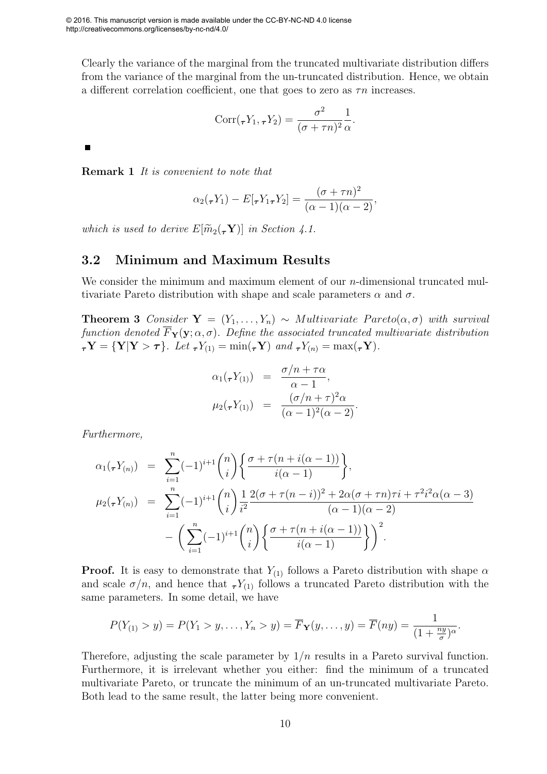Clearly the variance of the marginal from the truncated multivariate distribution differs from the variance of the marginal from the un-truncated distribution. Hence, we obtain a different correlation coefficient, one that goes to zero as  $\tau n$  increases.

$$
Corr(\tau Y_1, \tau Y_2) = \frac{\sigma^2}{(\sigma + \tau n)^2} \frac{1}{\alpha}.
$$

Remark 1 *It is convenient to note that*

$$
\alpha_2(\tau Y_1) - E[\tau Y_1 \tau Y_2] = \frac{(\sigma + \tau n)^2}{(\alpha - 1)(\alpha - 2)},
$$

*which is used to derive*  $E[\widetilde{m}_2(\tau Y)]$  *in Section 4.1.* 

#### 3.2 Minimum and Maximum Results

We consider the minimum and maximum element of our *n*-dimensional truncated multivariate Pareto distribution with shape and scale parameters  $\alpha$  and  $\sigma$ .

**Theorem 3** *Consider*  $Y = (Y_1, \ldots, Y_n) \sim Multivariate$  *Pareto* $(\alpha, \sigma)$  *with survival function denoted*  $\overline{F}_{Y}(y; \alpha, \sigma)$ *. Define the associated truncated multivariate distribution*  $\tau_Y = \{ Y | Y > \tau \}$ *. Let*  $\tau(Y_{(1)} = \min(\tau_Y)$  *and*  $\tau(Y_{(n)} = \max(\tau_Y)$ *.* 

$$
\alpha_1(\tau Y_{(1)}) = \frac{\sigma/n + \tau\alpha}{\alpha - 1},
$$
  

$$
\mu_2(\tau Y_{(1)}) = \frac{(\sigma/n + \tau)^2\alpha}{(\alpha - 1)^2(\alpha - 2)}.
$$

*Furthermore,*

$$
\alpha_1(\tau Y_{(n)}) = \sum_{i=1}^n (-1)^{i+1} \binom{n}{i} \left\{ \frac{\sigma + \tau(n + i(\alpha - 1))}{i(\alpha - 1)} \right\},
$$
  
\n
$$
\mu_2(\tau Y_{(n)}) = \sum_{i=1}^n (-1)^{i+1} \binom{n}{i} \frac{1}{i^2} \frac{2(\sigma + \tau(n - i))^2 + 2\alpha(\sigma + \tau n)\tau i + \tau^2 i^2 \alpha(\alpha - 3)}{(\alpha - 1)(\alpha - 2)} - \left( \sum_{i=1}^n (-1)^{i+1} \binom{n}{i} \left\{ \frac{\sigma + \tau(n + i(\alpha - 1))}{i(\alpha - 1)} \right\} \right)^2.
$$

**Proof.** It is easy to demonstrate that  $Y_{(1)}$  follows a Pareto distribution with shape  $\alpha$ and scale  $\sigma/n$ , and hence that  $\tau Y_{(1)}$  follows a truncated Pareto distribution with the same parameters. In some detail, we have

$$
P(Y_{(1)} > y) = P(Y_1 > y, \ldots, Y_n > y) = \overline{F}_{\mathbf{Y}}(y, \ldots, y) = \overline{F}(ny) = \frac{1}{(1 + \frac{ny}{\sigma})^{\alpha}}.
$$

Therefore, adjusting the scale parameter by  $1/n$  results in a Pareto survival function. Furthermore, it is irrelevant whether you either: find the minimum of a truncated multivariate Pareto, or truncate the minimum of an un-truncated multivariate Pareto. Both lead to the same result, the latter being more convenient.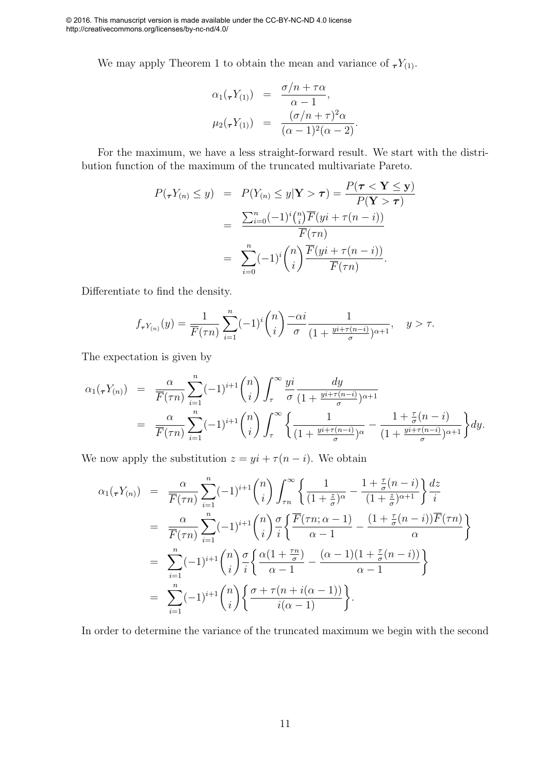We may apply Theorem 1 to obtain the mean and variance of  ${}_{\tau}Y_{(1)}$ .

$$
\alpha_1(\tau Y_{(1)}) = \frac{\sigma/n + \tau \alpha}{\alpha - 1},
$$
  

$$
\mu_2(\tau Y_{(1)}) = \frac{(\sigma/n + \tau)^2 \alpha}{(\alpha - 1)^2(\alpha - 2)}.
$$

For the maximum, we have a less straight-forward result. We start with the distribution function of the maximum of the truncated multivariate Pareto.

$$
P(\tau Y_{(n)} \le y) = P(Y_{(n)} \le y | \mathbf{Y} > \tau) = \frac{P(\tau < \mathbf{Y} \le y)}{P(\mathbf{Y} > \tau)}
$$
  
= 
$$
\frac{\sum_{i=0}^{n} (-1)^{i} {n \choose i} \overline{F}(yi + \tau(n-i))}{\overline{F}(\tau n)}
$$
  
= 
$$
\sum_{i=0}^{n} (-1)^{i} {n \choose i} \frac{\overline{F}(yi + \tau(n-i))}{\overline{F}(\tau n)}.
$$

Differentiate to find the density.

$$
f_{\tau Y_{(n)}}(y) = \frac{1}{\overline{F}(\tau n)} \sum_{i=1}^{n} (-1)^{i} {n \choose i} \frac{-\alpha i}{\sigma} \frac{1}{(1 + \frac{y i + \tau (n-i)}{\sigma})^{\alpha+1}}, \quad y > \tau.
$$

The expectation is given by

$$
\alpha_1(\tau Y_{(n)}) = \frac{\alpha}{\overline{F}(\tau n)} \sum_{i=1}^n (-1)^{i+1} \binom{n}{i} \int_{\tau}^{\infty} \frac{yi}{\sigma} \frac{dy}{(1 + \frac{yi + \tau(n-i)}{\sigma})^{\alpha+1}}
$$
  
= 
$$
\frac{\alpha}{\overline{F}(\tau n)} \sum_{i=1}^n (-1)^{i+1} \binom{n}{i} \int_{\tau}^{\infty} \left\{ \frac{1}{(1 + \frac{yi + \tau(n-i)}{\sigma})^{\alpha}} - \frac{1 + \frac{\tau}{\sigma}(n-i)}{(1 + \frac{yi + \tau(n-i)}{\sigma})^{\alpha+1}} \right\} dy.
$$

We now apply the substitution  $z = yi + \tau (n - i)$ . We obtain

$$
\alpha_1(\tau Y_{(n)}) = \frac{\alpha}{\overline{F}(\tau n)} \sum_{i=1}^n (-1)^{i+1} \binom{n}{i} \int_{\tau n}^\infty \left\{ \frac{1}{(1+\frac{z}{\sigma})^\alpha} - \frac{1+\frac{\tau}{\sigma}(n-i)}{(1+\frac{z}{\sigma})^{\alpha+1}} \right\} \frac{dz}{i}
$$
  
\n
$$
= \frac{\alpha}{\overline{F}(\tau n)} \sum_{i=1}^n (-1)^{i+1} \binom{n}{i} \frac{\sigma}{i} \left\{ \frac{\overline{F}(\tau n; \alpha-1)}{\alpha-1} - \frac{(1+\frac{\tau}{\sigma}(n-i))\overline{F}(\tau n)}{\alpha} \right\}
$$
  
\n
$$
= \sum_{i=1}^n (-1)^{i+1} \binom{n}{i} \frac{\sigma}{i} \left\{ \frac{\alpha(1+\frac{\tau n}{\sigma})}{\alpha-1} - \frac{(\alpha-1)(1+\frac{\tau}{\sigma}(n-i))}{\alpha-1} \right\}
$$
  
\n
$$
= \sum_{i=1}^n (-1)^{i+1} \binom{n}{i} \left\{ \frac{\sigma + \tau(n+i(\alpha-1))}{i(\alpha-1)} \right\}.
$$

In order to determine the variance of the truncated maximum we begin with the second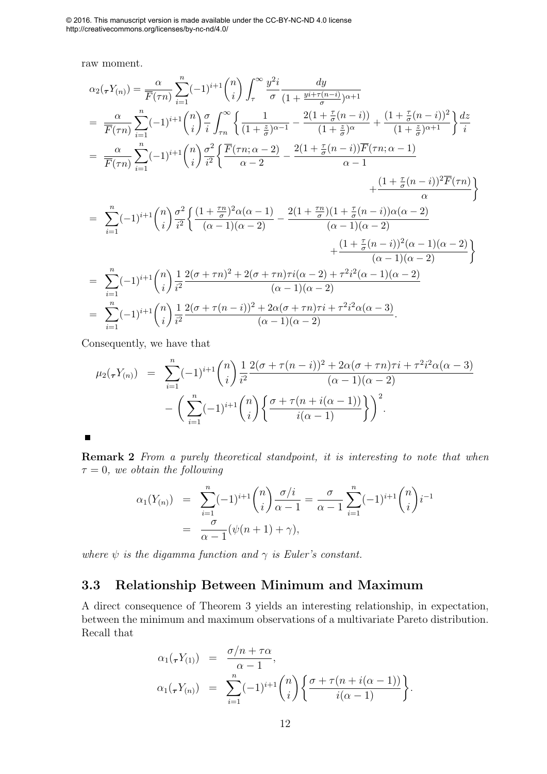raw moment.

$$
\alpha_{2}(\tau Y_{(n)}) = \frac{\alpha}{\overline{F}(\tau n)} \sum_{i=1}^{n} (-1)^{i+1} {n \choose i} \int_{\tau}^{\infty} \frac{y^{2}i}{\sigma} \frac{dy}{(1 + \frac{yi + \tau(n - i)}{\sigma})^{\alpha + 1}} \\
= \frac{\alpha}{\overline{F}(\tau n)} \sum_{i=1}^{n} (-1)^{i+1} {n \choose i} \frac{\sigma}{i} \int_{\tau n}^{\infty} \left\{ \frac{1}{(1 + \frac{z}{\sigma})^{\alpha - 1}} - \frac{2(1 + \frac{\tau}{\sigma}(n - i))}{(1 + \frac{z}{\sigma})^{\alpha}} + \frac{(1 + \frac{\tau}{\sigma}(n - i))^2}{(1 + \frac{z}{\sigma})^{\alpha + 1}} \right\} \frac{dz}{i} \\
= \frac{\alpha}{\overline{F}(\tau n)} \sum_{i=1}^{n} (-1)^{i+1} {n \choose i} \frac{\sigma^2}{i^2} \left\{ \frac{\overline{F}(\tau n; \alpha - 2)}{\alpha - 2} - \frac{2(1 + \frac{\tau}{\sigma}(n - i))\overline{F}(\tau n; \alpha - 1)}{\alpha - 1} + \frac{(1 + \frac{\tau}{\sigma}(n - i))^2\overline{F}(\tau n)}{\alpha} \right\} \\
= \sum_{i=1}^{n} (-1)^{i+1} {n \choose i} \frac{\sigma^2}{i^2} \left\{ \frac{(1 + \frac{\tau n}{\sigma})^2 \alpha(\alpha - 1)}{(\alpha - 1)(\alpha - 2)} - \frac{2(1 + \frac{\tau n}{\sigma})(1 + \frac{\tau}{\sigma}(n - i))\alpha(\alpha - 2)}{(\alpha - 1)(\alpha - 2)} + \frac{(1 + \frac{\tau}{\sigma}(n - i))^2(\alpha - 1)(\alpha - 2)}{(\alpha - 1)(\alpha - 2)} \right\} \\
= \sum_{i=1}^{n} (-1)^{i+1} {n \choose i} \frac{1}{i^2} \frac{2(\sigma + \tau n)^2 + 2(\sigma + \tau n)\tau i(\alpha - 2) + \tau^2 i^2(\alpha - 1)(\alpha - 2)}{(\alpha - 1)(\alpha - 2)} \\
= \sum_{i=1}^{n} (-1)^{i+1} {n \choose i} \frac{1}{i^2} \frac{2(\sigma + \tau(n - i))^2 +
$$

Consequently, we have that

$$
\mu_2(\tau Y_{(n)}) = \sum_{i=1}^n (-1)^{i+1} \binom{n}{i} \frac{1}{i^2} \frac{2(\sigma + \tau(n-i))^2 + 2\alpha(\sigma + \tau n)\tau i + \tau^2 i^2 \alpha(\alpha - 3))}{(\alpha - 1)(\alpha - 2)} - \left( \sum_{i=1}^n (-1)^{i+1} \binom{n}{i} \left\{ \frac{\sigma + \tau(n + i(\alpha - 1))}{i(\alpha - 1)} \right\} \right)^2.
$$

 $\blacksquare$ 

Remark 2 *From a purely theoretical standpoint, it is interesting to note that when*  $\tau = 0$ , we obtain the following

$$
\alpha_1(Y_{(n)}) = \sum_{i=1}^n (-1)^{i+1} \binom{n}{i} \frac{\sigma/i}{\alpha - 1} = \frac{\sigma}{\alpha - 1} \sum_{i=1}^n (-1)^{i+1} \binom{n}{i} i^{-1}
$$
  
= 
$$
\frac{\sigma}{\alpha - 1} (\psi(n + 1) + \gamma),
$$

*where*  $\psi$  *is the digamma function and*  $\gamma$  *is Euler's constant.* 

#### 3.3 Relationship Between Minimum and Maximum

A direct consequence of Theorem 3 yields an interesting relationship, in expectation, between the minimum and maximum observations of a multivariate Pareto distribution. Recall that

$$
\alpha_1(\tau Y_{(1)}) = \frac{\sigma/n + \tau \alpha}{\alpha - 1},
$$
  
\n
$$
\alpha_1(\tau Y_{(n)}) = \sum_{i=1}^n (-1)^{i+1} \binom{n}{i} \left\{ \frac{\sigma + \tau(n + i(\alpha - 1))}{i(\alpha - 1)} \right\}.
$$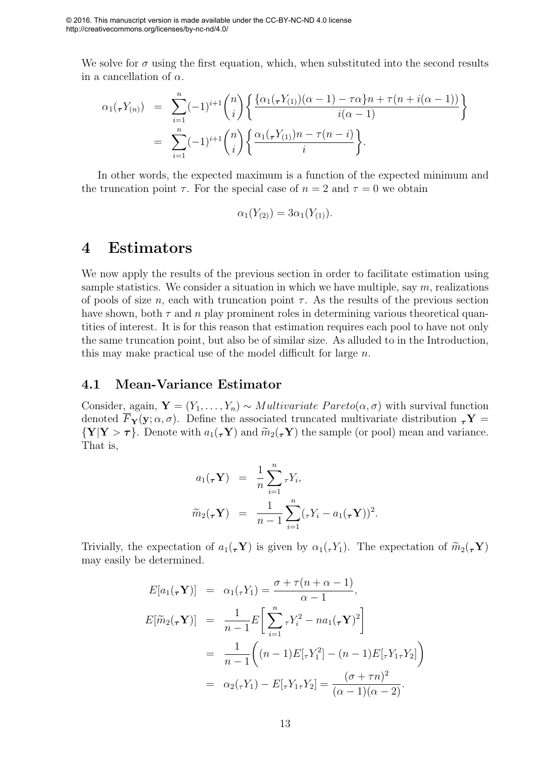We solve for  $\sigma$  using the first equation, which, when substituted into the second results in a cancellation of  $\alpha$ .

$$
\alpha_1(\tau Y_{(n)}) = \sum_{i=1}^n (-1)^{i+1} \binom{n}{i} \left\{ \frac{\{\alpha_1(\tau Y_{(1)})(\alpha-1) - \tau \alpha\} n + \tau (n + i(\alpha - 1))}{i(\alpha - 1)} \right\}
$$
  
= 
$$
\sum_{i=1}^n (-1)^{i+1} \binom{n}{i} \left\{ \frac{\alpha_1(\tau Y_{(1)}) n - \tau (n - i)}{i} \right\}.
$$

In other words, the expected maximum is a function of the expected minimum and the truncation point  $\tau$ . For the special case of  $n = 2$  and  $\tau = 0$  we obtain

$$
\alpha_1(Y_{(2)}) = 3\alpha_1(Y_{(1)}).
$$

#### 4 Estimators

We now apply the results of the previous section in order to facilitate estimation using sample statistics. We consider a situation in which we have multiple, say  $m$ , realizations of pools of size n, each with truncation point  $\tau$ . As the results of the previous section have shown, both  $\tau$  and  $n$  play prominent roles in determining various theoretical quantities of interest. It is for this reason that estimation requires each pool to have not only the same truncation point, but also be of similar size. As alluded to in the Introduction, this may make practical use of the model difficult for large  $n$ .

#### 4.1 Mean-Variance Estimator

Consider, again,  $\mathbf{Y} = (Y_1, \ldots, Y_n) \sim Multivariate \ Pareto(\alpha, \sigma)$  with survival function denoted  $\overline{F}_{\mathbf{Y}}(\mathbf{y};\alpha,\sigma)$ . Define the associated truncated multivariate distribution  $\tau \mathbf{Y} =$  ${\bf Y|Y > \tau}$ . Denote with  $a_1(\tau Y)$  and  $\widetilde{m}_2(\tau Y)$  the sample (or pool) mean and variance. That is,

$$
a_1(\tau \mathbf{Y}) = \frac{1}{n} \sum_{i=1}^n \tau Y_i,
$$
  

$$
\widetilde{m}_2(\tau \mathbf{Y}) = \frac{1}{n-1} \sum_{i=1}^n (\tau Y_i - a_1(\tau \mathbf{Y}))^2.
$$

Trivially, the expectation of  $a_1(\tau Y)$  is given by  $\alpha_1(\tau Y_1)$ . The expectation of  $\widetilde{m}_2(\tau Y)$ may easily be determined.

$$
E[a_1(\tau \mathbf{Y})] = \alpha_1(\tau Y_1) = \frac{\sigma + \tau(n + \alpha - 1)}{\alpha - 1},
$$
  
\n
$$
E[\widetilde{m}_2(\tau \mathbf{Y})] = \frac{1}{n - 1} E\left[\sum_{i=1}^n \tau Y_i^2 - na_1(\tau \mathbf{Y})^2\right]
$$
  
\n
$$
= \frac{1}{n - 1} \left( (n - 1) E[\tau Y_1^2] - (n - 1) E[\tau Y_1 \tau Y_2] \right)
$$
  
\n
$$
= \alpha_2(\tau Y_1) - E[\tau Y_1 \tau Y_2] = \frac{(\sigma + \tau n)^2}{(\alpha - 1)(\alpha - 2)}.
$$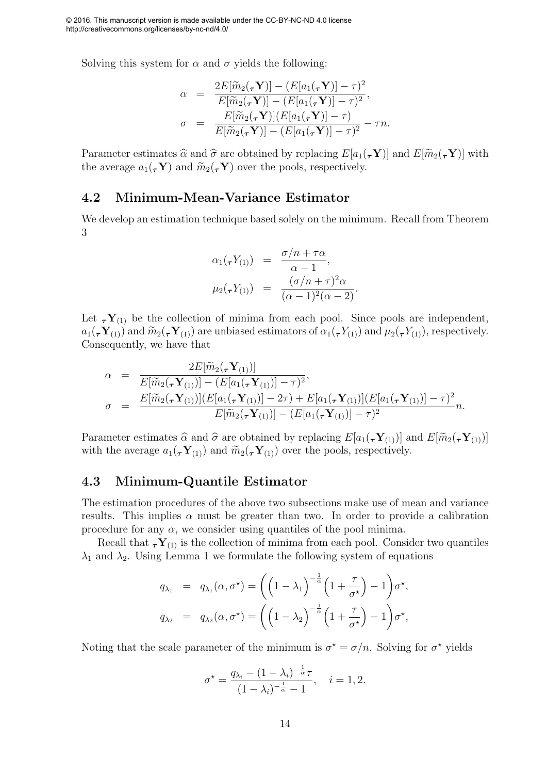Solving this system for  $\alpha$  and  $\sigma$  yields the following:

$$
\alpha = \frac{2E[\widetilde{m}_2(\tau \mathbf{Y})] - (E[a_1(\tau \mathbf{Y})] - \tau)^2}{E[\widetilde{m}_2(\tau \mathbf{Y})] - (E[a_1(\tau \mathbf{Y})] - \tau)^2},
$$
  

$$
\sigma = \frac{E[\widetilde{m}_2(\tau \mathbf{Y})](E[a_1(\tau \mathbf{Y})] - \tau)}{E[\widetilde{m}_2(\tau \mathbf{Y})] - (E[a_1(\tau \mathbf{Y})] - \tau)^2} - \tau n.
$$

Parameter estimates  $\hat{\alpha}$  and  $\hat{\sigma}$  are obtained by replacing  $E[a_1(\tau Y)]$  and  $E[\widetilde{m}_2(\tau Y)]$  with the average  $a_1(\tau Y)$  and  $\widetilde{m}_2(\tau Y)$  over the pools, respectively.

#### 4.2 Minimum-Mean-Variance Estimator

We develop an estimation technique based solely on the minimum. Recall from Theorem 3

$$
\alpha_1(\tau Y_{(1)}) = \frac{\sigma/n + \tau\alpha}{\alpha - 1},
$$
  

$$
\mu_2(\tau Y_{(1)}) = \frac{(\sigma/n + \tau)^2\alpha}{(\alpha - 1)^2(\alpha - 2)}.
$$

Let  $\tau Y_{(1)}$  be the collection of minima from each pool. Since pools are independent,  $a_1(\tau \mathbf{Y}_{(1)})$  and  $\widetilde{m}_2(\tau \mathbf{Y}_{(1)})$  are unbiased estimators of  $\alpha_1(\tau \mathbf{Y}_{(1)})$  and  $\mu_2(\tau \mathbf{Y}_{(1)})$ , respectively. Consequently, we have that

$$
\alpha = \frac{2E[\widetilde{m}_2(\tau \mathbf{Y}_{(1)})]}{E[\widetilde{m}_2(\tau \mathbf{Y}_{(1)})] - (E[a_1(\tau \mathbf{Y}_{(1)})] - \tau)^2},
$$
  
\n
$$
\sigma = \frac{E[\widetilde{m}_2(\tau \mathbf{Y}_{(1)})](E[a_1(\tau \mathbf{Y}_{(1)})] - 2\tau) + E[a_1(\tau \mathbf{Y}_{(1)})](E[a_1(\tau \mathbf{Y}_{(1)})] - \tau)^2}{E[\widetilde{m}_2(\tau \mathbf{Y}_{(1)})] - (E[a_1(\tau \mathbf{Y}_{(1)})] - \tau)^2}n.
$$

Parameter estimates  $\hat{\alpha}$  and  $\hat{\sigma}$  are obtained by replacing  $E[a_1(\tau Y_{(1)})]$  and  $E[\widetilde{m}_2(\tau Y_{(1)})]$ with the average  $a_1(\tau \mathbf{Y}_{(1)})$  and  $\widetilde{m}_2(\tau \mathbf{Y}_{(1)})$  over the pools, respectively.

#### 4.3 Minimum-Quantile Estimator

The estimation procedures of the above two subsections make use of mean and variance results. This implies  $\alpha$  must be greater than two. In order to provide a calibration procedure for any  $\alpha$ , we consider using quantiles of the pool minima.

Recall that  ${}_{\tau}Y_{(1)}$  is the collection of minima from each pool. Consider two quantiles  $\lambda_1$  and  $\lambda_2$ . Using Lemma 1 we formulate the following system of equations

$$
q_{\lambda_1} = q_{\lambda_1}(\alpha, \sigma^*) = \left( \left( 1 - \lambda_1 \right)^{-\frac{1}{\alpha}} \left( 1 + \frac{\tau}{\sigma^*} \right) - 1 \right) \sigma^*,
$$
  

$$
q_{\lambda_2} = q_{\lambda_2}(\alpha, \sigma^*) = \left( \left( 1 - \lambda_2 \right)^{-\frac{1}{\alpha}} \left( 1 + \frac{\tau}{\sigma^*} \right) - 1 \right) \sigma^*,
$$

Noting that the scale parameter of the minimum is  $\sigma^* = \sigma/n$ . Solving for  $\sigma^*$  yields

$$
\sigma^* = \frac{q_{\lambda_i} - (1 - \lambda_i)^{-\frac{1}{\alpha}} \tau}{(1 - \lambda_i)^{-\frac{1}{\alpha}} - 1}, \quad i = 1, 2.
$$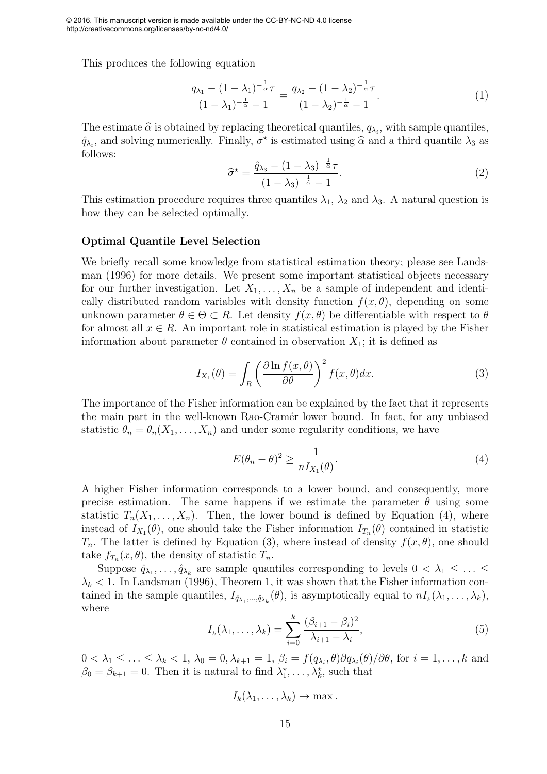This produces the following equation

$$
\frac{q_{\lambda_1} - (1 - \lambda_1)^{-\frac{1}{\alpha}}\tau}{(1 - \lambda_1)^{-\frac{1}{\alpha}} - 1} = \frac{q_{\lambda_2} - (1 - \lambda_2)^{-\frac{1}{\alpha}}\tau}{(1 - \lambda_2)^{-\frac{1}{\alpha}} - 1}.
$$
\n(1)

The estimate  $\hat{\alpha}$  is obtained by replacing theoretical quantiles,  $q_{\lambda_i}$ , with sample quantiles,  $\hat{q}_{\lambda_i}$ , and solving numerically. Finally,  $\sigma^*$  is estimated using  $\hat{\alpha}$  and a third quantile  $\lambda_3$  as follows:

$$
\widehat{\sigma}^* = \frac{\widehat{q}_{\lambda_3} - (1 - \lambda_3)^{-\frac{1}{\widehat{\alpha}}}\tau}{(1 - \lambda_3)^{-\frac{1}{\widehat{\alpha}}} - 1}.
$$
\n(2)

This estimation procedure requires three quantiles  $\lambda_1$ ,  $\lambda_2$  and  $\lambda_3$ . A natural question is how they can be selected optimally.

#### Optimal Quantile Level Selection

We briefly recall some knowledge from statistical estimation theory; please see Landsman (1996) for more details. We present some important statistical objects necessary for our further investigation. Let  $X_1, \ldots, X_n$  be a sample of independent and identically distributed random variables with density function  $f(x, \theta)$ , depending on some unknown parameter  $\theta \in \Theta \subset R$ . Let density  $f(x, \theta)$  be differentiable with respect to  $\theta$ for almost all  $x \in R$ . An important role in statistical estimation is played by the Fisher information about parameter  $\theta$  contained in observation  $X_1$ ; it is defined as

$$
I_{X_1}(\theta) = \int_R \left(\frac{\partial \ln f(x,\theta)}{\partial \theta}\right)^2 f(x,\theta) dx.
$$
 (3)

The importance of the Fisher information can be explained by the fact that it represents the main part in the well-known Rao-Cramér lower bound. In fact, for any unbiased statistic  $\theta_n = \theta_n(X_1, \ldots, X_n)$  and under some regularity conditions, we have

$$
E(\theta_n - \theta)^2 \ge \frac{1}{n I_{X_1}(\theta)}.\tag{4}
$$

A higher Fisher information corresponds to a lower bound, and consequently, more precise estimation. The same happens if we estimate the parameter  $\theta$  using some statistic  $T_n(X_1,\ldots,X_n)$ . Then, the lower bound is defined by Equation (4), where instead of  $I_{X_1}(\theta)$ , one should take the Fisher information  $I_{T_n}(\theta)$  contained in statistic  $T_n$ . The latter is defined by Equation (3), where instead of density  $f(x, \theta)$ , one should take  $f_{T_n}(x, \theta)$ , the density of statistic  $T_n$ .

Suppose  $\hat{q}_{\lambda_1}, \ldots, \hat{q}_{\lambda_k}$  are sample quantiles corresponding to levels  $0 < \lambda_1 \leq \ldots \leq$  $\lambda_k$  < 1. In Landsman (1996), Theorem 1, it was shown that the Fisher information contained in the sample quantiles,  $I_{\hat{q}_{\lambda_1},...,\hat{q}_{\lambda_k}}(\theta)$ , is asymptotically equal to  $nI_k(\lambda_1,\ldots,\lambda_k)$ , where

$$
I_k(\lambda_1,\ldots,\lambda_k) = \sum_{i=0}^k \frac{(\beta_{i+1} - \beta_i)^2}{\lambda_{i+1} - \lambda_i},\tag{5}
$$

 $0 < \lambda_1 \leq \ldots \leq \lambda_k < 1, \, \lambda_0 = 0, \lambda_{k+1} = 1, \, \beta_i = f(q_{\lambda_i}, \theta) \partial q_{\lambda_i}(\theta) / \partial \theta$ , for  $i = 1, \ldots, k$  and  $\beta_0 = \beta_{k+1} = 0$ . Then it is natural to find  $\lambda_1^*, \ldots, \lambda_k^*$ , such that

$$
I_k(\lambda_1,\ldots,\lambda_k)\to \max.
$$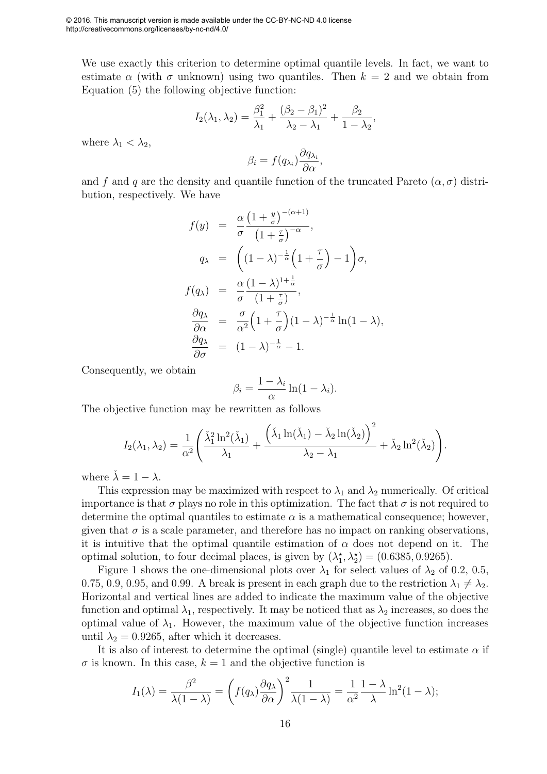We use exactly this criterion to determine optimal quantile levels. In fact, we want to estimate  $\alpha$  (with  $\sigma$  unknown) using two quantiles. Then  $k = 2$  and we obtain from Equation (5) the following objective function:

$$
I_2(\lambda_1, \lambda_2) = \frac{\beta_1^2}{\lambda_1} + \frac{(\beta_2 - \beta_1)^2}{\lambda_2 - \lambda_1} + \frac{\beta_2}{1 - \lambda_2},
$$

where  $\lambda_1 < \lambda_2$ ,

$$
\beta_i = f(q_{\lambda_i}) \frac{\partial q_{\lambda_i}}{\partial \alpha},
$$

and f and q are the density and quantile function of the truncated Pareto  $(\alpha, \sigma)$  distribution, respectively. We have

$$
f(y) = \frac{\alpha}{\sigma} \frac{\left(1 + \frac{y}{\sigma}\right)^{-(\alpha+1)}}{\left(1 + \frac{\tau}{\sigma}\right)^{-\alpha}},
$$
  
\n
$$
q_{\lambda} = \left((1 - \lambda)^{-\frac{1}{\alpha}} \left(1 + \frac{\tau}{\sigma}\right) - 1\right) \sigma,
$$
  
\n
$$
f(q_{\lambda}) = \frac{\alpha}{\sigma} \frac{(1 - \lambda)^{1 + \frac{1}{\alpha}}}{\left(1 + \frac{\tau}{\sigma}\right)},
$$
  
\n
$$
\frac{\partial q_{\lambda}}{\partial \alpha} = \frac{\sigma}{\alpha^2} \left(1 + \frac{\tau}{\sigma}\right) (1 - \lambda)^{-\frac{1}{\alpha}} \ln(1 - \lambda),
$$
  
\n
$$
\frac{\partial q_{\lambda}}{\partial \sigma} = (1 - \lambda)^{-\frac{1}{\alpha}} - 1.
$$

Consequently, we obtain

$$
\beta_i = \frac{1 - \lambda_i}{\alpha} \ln(1 - \lambda_i).
$$

The objective function may be rewritten as follows

$$
I_2(\lambda_1, \lambda_2) = \frac{1}{\alpha^2} \left( \frac{\check{\lambda}_1^2 \ln^2(\check{\lambda}_1)}{\lambda_1} + \frac{\left( \check{\lambda}_1 \ln(\check{\lambda}_1) - \check{\lambda}_2 \ln(\check{\lambda}_2) \right)^2}{\lambda_2 - \lambda_1} + \check{\lambda}_2 \ln^2(\check{\lambda}_2) \right).
$$

where  $\lambda = 1 - \lambda$ .

This expression may be maximized with respect to  $\lambda_1$  and  $\lambda_2$  numerically. Of critical importance is that  $\sigma$  plays no role in this optimization. The fact that  $\sigma$  is not required to determine the optimal quantiles to estimate  $\alpha$  is a mathematical consequence; however, given that  $\sigma$  is a scale parameter, and therefore has no impact on ranking observations, it is intuitive that the optimal quantile estimation of  $\alpha$  does not depend on it. The optimal solution, to four decimal places, is given by  $(\lambda_1^*, \lambda_2^*) = (0.6385, 0.9265)$ .

Figure 1 shows the one-dimensional plots over  $\lambda_1$  for select values of  $\lambda_2$  of 0.2, 0.5, 0.75, 0.9, 0.95, and 0.99. A break is present in each graph due to the restriction  $\lambda_1 \neq \lambda_2$ . Horizontal and vertical lines are added to indicate the maximum value of the objective function and optimal  $\lambda_1$ , respectively. It may be noticed that as  $\lambda_2$  increases, so does the optimal value of  $\lambda_1$ . However, the maximum value of the objective function increases until  $\lambda_2 = 0.9265$ , after which it decreases.

It is also of interest to determine the optimal (single) quantile level to estimate  $\alpha$  if  $\sigma$  is known. In this case,  $k = 1$  and the objective function is

$$
I_1(\lambda) = \frac{\beta^2}{\lambda(1-\lambda)} = \left(f(q_\lambda)\frac{\partial q_\lambda}{\partial \alpha}\right)^2 \frac{1}{\lambda(1-\lambda)} = \frac{1}{\alpha^2} \frac{1-\lambda}{\lambda} \ln^2(1-\lambda);
$$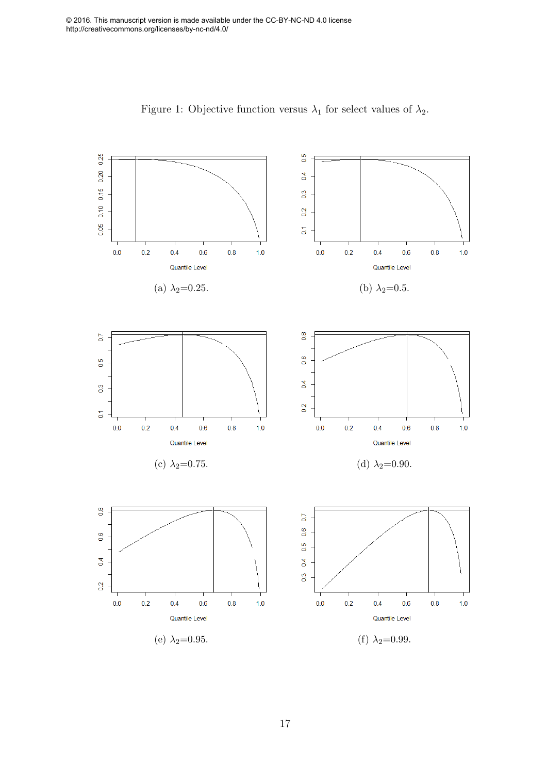

Figure 1: Objective function versus  $\lambda_1$  for select values of  $\lambda_2$ .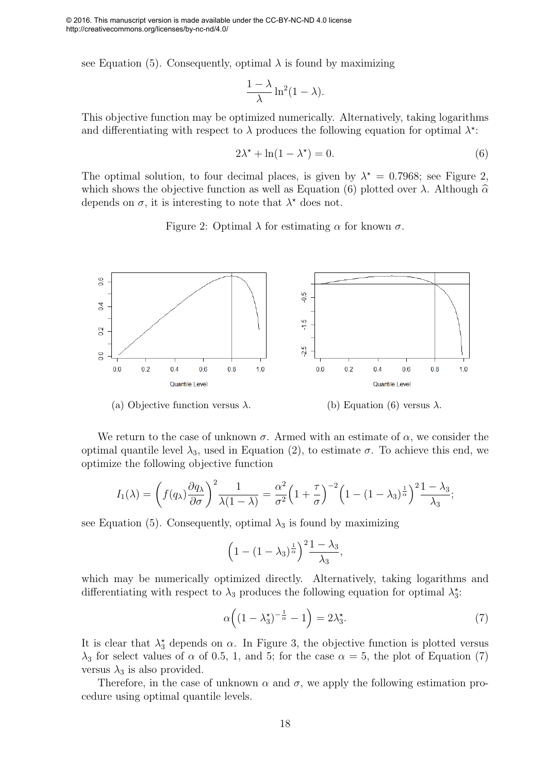see Equation (5). Consequently, optimal  $\lambda$  is found by maximizing

$$
\frac{1-\lambda}{\lambda}\ln^2(1-\lambda).
$$

This objective function may be optimized numerically. Alternatively, taking logarithms and differentiating with respect to  $\lambda$  produces the following equation for optimal  $\lambda^*$ :

$$
2\lambda^* + \ln(1 - \lambda^*) = 0. \tag{6}
$$

The optimal solution, to four decimal places, is given by  $\lambda^* = 0.7968$ ; see Figure 2, which shows the objective function as well as Equation (6) plotted over  $\lambda$ . Although  $\hat{\alpha}$ depends on  $\sigma$ , it is interesting to note that  $\lambda^*$  does not.

Figure 2: Optimal  $\lambda$  for estimating  $\alpha$  for known  $\sigma$ .



We return to the case of unknown  $\sigma$ . Armed with an estimate of  $\alpha$ , we consider the optimal quantile level  $\lambda_3$ , used in Equation (2), to estimate  $\sigma$ . To achieve this end, we optimize the following objective function

$$
I_1(\lambda) = \left(f(q_\lambda)\frac{\partial q_\lambda}{\partial \sigma}\right)^2 \frac{1}{\lambda(1-\lambda)} = \frac{\alpha^2}{\sigma^2} \left(1+\frac{\tau}{\sigma}\right)^{-2} \left(1-(1-\lambda_3)^{\frac{1}{\alpha}}\right)^2 \frac{1-\lambda_3}{\lambda_3};
$$

see Equation (5). Consequently, optimal  $\lambda_3$  is found by maximizing

$$
\left(1 - \left(1 - \lambda_3\right)^{\frac{1}{\alpha}}\right)^2 \frac{1 - \lambda_3}{\lambda_3},
$$

which may be numerically optimized directly. Alternatively, taking logarithms and differentiating with respect to  $\lambda_3$  produces the following equation for optimal  $\lambda_3^*$ :

$$
\alpha\Big((1-\lambda_3^{\star})^{-\frac{1}{\alpha}}-1\Big)=2\lambda_3^{\star}.\tag{7}
$$

It is clear that  $\lambda_3^*$  depends on  $\alpha$ . In Figure 3, the objective function is plotted versus  $\lambda_3$  for select values of  $\alpha$  of 0.5, 1, and 5; for the case  $\alpha = 5$ , the plot of Equation (7) versus  $\lambda_3$  is also provided.

Therefore, in the case of unknown  $\alpha$  and  $\sigma$ , we apply the following estimation procedure using optimal quantile levels.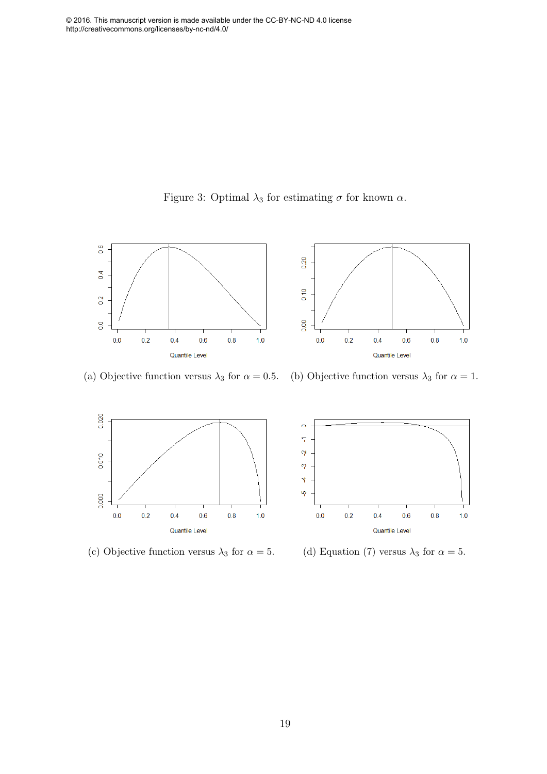



(a) Objective function versus  $\lambda_3$  for  $\alpha = 0.5$ . (b) Objective function versus  $\lambda_3$  for  $\alpha = 1$ .





(c) Objective function versus  $\lambda_3$  for  $\alpha = 5$ . (d) Equation (7) versus  $\lambda_3$  for  $\alpha = 5$ .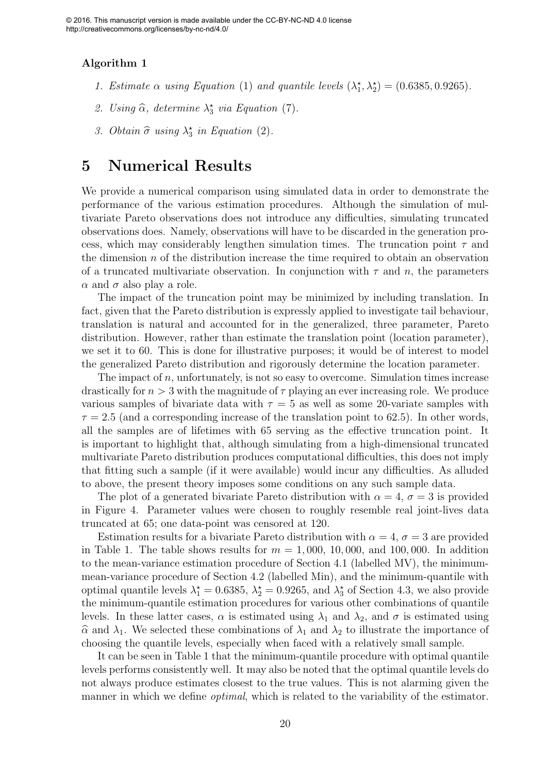#### Algorithm 1

- 1. Estimate  $\alpha$  using Equation (1) and quantile levels  $(\lambda_1^*, \lambda_2^*) = (0.6385, 0.9265)$ .
- 2. Using  $\widehat{\alpha}$ , determine  $\lambda_3^*$  via Equation (7).
- 3. Obtain  $\hat{\sigma}$  using  $\lambda_3^*$  in Equation (2).

### 5 Numerical Results

We provide a numerical comparison using simulated data in order to demonstrate the performance of the various estimation procedures. Although the simulation of multivariate Pareto observations does not introduce any difficulties, simulating truncated observations does. Namely, observations will have to be discarded in the generation process, which may considerably lengthen simulation times. The truncation point  $\tau$  and the dimension  $n$  of the distribution increase the time required to obtain an observation of a truncated multivariate observation. In conjunction with  $\tau$  and  $n$ , the parameters  $\alpha$  and  $\sigma$  also play a role.

The impact of the truncation point may be minimized by including translation. In fact, given that the Pareto distribution is expressly applied to investigate tail behaviour, translation is natural and accounted for in the generalized, three parameter, Pareto distribution. However, rather than estimate the translation point (location parameter), we set it to 60. This is done for illustrative purposes; it would be of interest to model the generalized Pareto distribution and rigorously determine the location parameter.

The impact of  $n$ , unfortunately, is not so easy to overcome. Simulation times increase drastically for  $n > 3$  with the magnitude of  $\tau$  playing an ever increasing role. We produce various samples of bivariate data with  $\tau = 5$  as well as some 20-variate samples with  $\tau = 2.5$  (and a corresponding increase of the translation point to 62.5). In other words, all the samples are of lifetimes with 65 serving as the effective truncation point. It is important to highlight that, although simulating from a high-dimensional truncated multivariate Pareto distribution produces computational difficulties, this does not imply that fitting such a sample (if it were available) would incur any difficulties. As alluded to above, the present theory imposes some conditions on any such sample data.

The plot of a generated bivariate Pareto distribution with  $\alpha = 4, \sigma = 3$  is provided in Figure 4. Parameter values were chosen to roughly resemble real joint-lives data truncated at 65; one data-point was censored at 120.

Estimation results for a bivariate Pareto distribution with  $\alpha = 4, \sigma = 3$  are provided in Table 1. The table shows results for  $m = 1,000, 10,000,$  and 100,000. In addition to the mean-variance estimation procedure of Section 4.1 (labelled MV), the minimummean-variance procedure of Section 4.2 (labelled Min), and the minimum-quantile with optimal quantile levels  $\lambda_1^* = 0.6385$ ,  $\lambda_2^* = 0.9265$ , and  $\lambda_3^*$  of Section 4.3, we also provide the minimum-quantile estimation procedures for various other combinations of quantile levels. In these latter cases,  $\alpha$  is estimated using  $\lambda_1$  and  $\lambda_2$ , and  $\sigma$  is estimated using  $\hat{\alpha}$  and  $\lambda_1$ . We selected these combinations of  $\lambda_1$  and  $\lambda_2$  to illustrate the importance of choosing the quantile levels, especially when faced with a relatively small sample.

It can be seen in Table 1 that the minimum-quantile procedure with optimal quantile levels performs consistently well. It may also be noted that the optimal quantile levels do not always produce estimates closest to the true values. This is not alarming given the manner in which we define *optimal*, which is related to the variability of the estimator.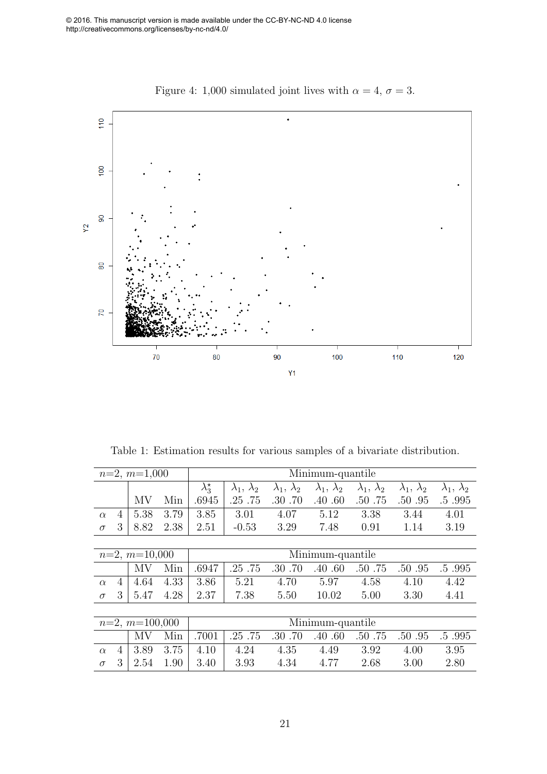

Figure 4: 1,000 simulated joint lives with  $\alpha = 4, \sigma = 3$ .

Table 1: Estimation results for various samples of a bivariate distribution.

| $n=2, m=1,000$   |   |      |      | Minimum-quantile    |                        |                        |                        |                        |                        |                        |  |  |
|------------------|---|------|------|---------------------|------------------------|------------------------|------------------------|------------------------|------------------------|------------------------|--|--|
|                  |   |      |      | $\lambda_3^{\star}$ | $\lambda_1, \lambda_2$ | $\lambda_1, \lambda_2$ | $\lambda_1, \lambda_2$ | $\lambda_1, \lambda_2$ | $\lambda_1, \lambda_2$ | $\lambda_1, \lambda_2$ |  |  |
|                  |   | MV   | Min  | .6945               | .25.75                 | .30.70                 | .40 .60                | .50 .75                | .50 .95                | .5.995                 |  |  |
| $\alpha$         | 4 | 5.38 | 3.79 | 3.85                | 3.01                   | 4.07                   | 5.12                   | 3.38                   | 3.44                   | 4.01                   |  |  |
| $\sigma$         | 3 | 8.82 | 2.38 | 2.51                | $-0.53$                | 3.29                   | 7.48                   | 0.91                   | 1.14                   | 3.19                   |  |  |
|                  |   |      |      |                     |                        |                        |                        |                        |                        |                        |  |  |
| $n=2, m=10,000$  |   |      |      | Minimum-quantile    |                        |                        |                        |                        |                        |                        |  |  |
|                  |   | MV   | Min  | .6947               | .25.75                 | .30.70                 | .40.60                 | .50 .75                | .50 .95                | .5.995                 |  |  |
| $\alpha$         | 4 | 4.64 | 4.33 | 3.86                | 5.21                   | 4.70                   | 5.97                   | 4.58                   | 4.10                   | 4.42                   |  |  |
| $\sigma$         | 3 | 5.47 | 4.28 | 2.37                | 7.38                   | 5.50                   | 10.02                  | 5.00                   | 3.30                   | 4.41                   |  |  |
|                  |   |      |      |                     |                        |                        |                        |                        |                        |                        |  |  |
| $n=2, m=100,000$ |   |      |      | Minimum-quantile    |                        |                        |                        |                        |                        |                        |  |  |
|                  |   | ΜV   | Min  | .7001               | .25.75                 | .30.70                 | .40.60                 | .50 .75                | .50 .95                | .5.995                 |  |  |
| $\alpha$         | 4 | 3.89 | 3.75 | 4.10                | 4.24                   | 4.35                   | 4.49                   | 3.92                   | 4.00                   | 3.95                   |  |  |
| $\sigma$         | 3 | 2.54 | 1.90 | 3.40                | 3.93                   | 4.34                   | 4.77                   | 2.68                   | 3.00                   | 2.80                   |  |  |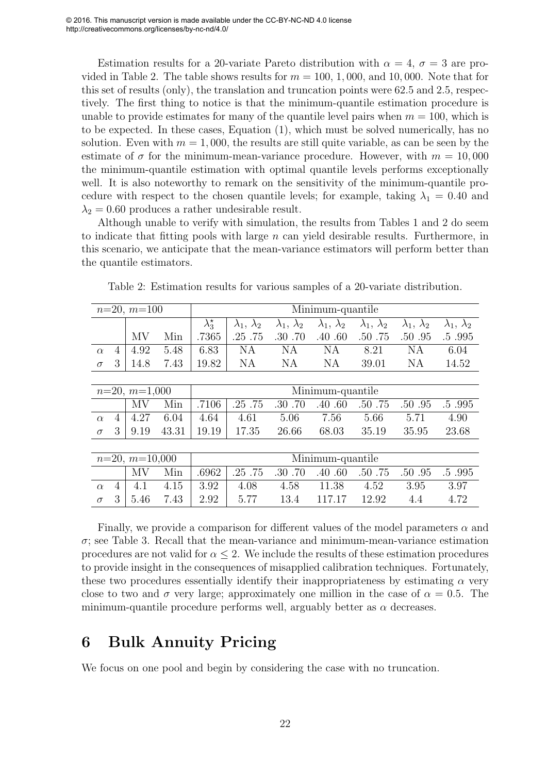Estimation results for a 20-variate Pareto distribution with  $\alpha = 4$ ,  $\sigma = 3$  are provided in Table 2. The table shows results for  $m = 100, 1,000$ , and 10,000. Note that for this set of results (only), the translation and truncation points were 62.5 and 2.5, respectively. The first thing to notice is that the minimum-quantile estimation procedure is unable to provide estimates for many of the quantile level pairs when  $m = 100$ , which is to be expected. In these cases, Equation (1), which must be solved numerically, has no solution. Even with  $m = 1,000$ , the results are still quite variable, as can be seen by the estimate of  $\sigma$  for the minimum-mean-variance procedure. However, with  $m = 10,000$ the minimum-quantile estimation with optimal quantile levels performs exceptionally well. It is also noteworthy to remark on the sensitivity of the minimum-quantile procedure with respect to the chosen quantile levels; for example, taking  $\lambda_1 = 0.40$  and  $\lambda_2 = 0.60$  produces a rather undesirable result.

Although unable to verify with simulation, the results from Tables 1 and 2 do seem to indicate that fitting pools with large  $n$  can yield desirable results. Furthermore, in this scenario, we anticipate that the mean-variance estimators will perform better than the quantile estimators.

| $n=20, m=100$    |   |                 |       | Minimum-quantile    |                        |                        |                        |                        |                        |                        |  |  |
|------------------|---|-----------------|-------|---------------------|------------------------|------------------------|------------------------|------------------------|------------------------|------------------------|--|--|
|                  |   |                 |       | $\lambda_3^{\star}$ | $\lambda_1, \lambda_2$ | $\lambda_1, \lambda_2$ | $\lambda_1, \lambda_2$ | $\lambda_1, \lambda_2$ | $\lambda_1, \lambda_2$ | $\lambda_1, \lambda_2$ |  |  |
|                  |   | MV              | Min   | .7365               | .25 .75                | .30.70                 | .40 .60                | .50 .75                | .50 .95                | .5.995                 |  |  |
| $\alpha$         | 4 | 4.92            | 5.48  | 6.83                | NA                     | NA                     | <b>NA</b>              | 8.21                   | NA                     | 6.04                   |  |  |
| $\sigma$         | 3 | 14.8            | 7.43  | 19.82               | <b>NA</b>              | NA                     | <b>NA</b>              | 39.01                  | NA                     | 14.52                  |  |  |
|                  |   |                 |       |                     |                        |                        |                        |                        |                        |                        |  |  |
|                  |   | $n=20, m=1,000$ |       | Minimum-quantile    |                        |                        |                        |                        |                        |                        |  |  |
|                  |   | MV              | Min   | .7106               | .25.75                 | .30.70                 | .40.60                 | .50 .75                | .50 .95                | .5.995                 |  |  |
| $\alpha$         | 4 | 4.27            | 6.04  | 4.64                | 4.61                   | 5.06                   | 7.56                   | 5.66                   | 5.71                   | 4.90                   |  |  |
| $\sigma$         | 3 | 9.19            | 43.31 | 19.19               | 17.35                  | 26.66                  | 68.03                  | 35.19                  | 35.95                  | 23.68                  |  |  |
|                  |   |                 |       |                     |                        |                        |                        |                        |                        |                        |  |  |
| $n=20, m=10,000$ |   |                 |       | Minimum-quantile    |                        |                        |                        |                        |                        |                        |  |  |
|                  |   | MV              | Min   | .6962               | .25 .75                | .30.70                 | .40.60                 | .50 .75                | .50 .95                | .5.995                 |  |  |
| $\alpha$         | 4 | 4.1             | 4.15  | 3.92                | 4.08                   | 4.58                   | 11.38                  | 4.52                   | 3.95                   | 3.97                   |  |  |
| $\sigma$         | 3 | 5.46            | 7.43  | 2.92                | 5.77                   | 13.4                   | 117.17                 | 12.92                  | 4.4                    | 4.72                   |  |  |

Table 2: Estimation results for various samples of a 20-variate distribution.

Finally, we provide a comparison for different values of the model parameters  $\alpha$  and  $\sigma$ ; see Table 3. Recall that the mean-variance and minimum-mean-variance estimation procedures are not valid for  $\alpha \leq 2$ . We include the results of these estimation procedures to provide insight in the consequences of misapplied calibration techniques. Fortunately, these two procedures essentially identify their inappropriateness by estimating  $\alpha$  very close to two and  $\sigma$  very large; approximately one million in the case of  $\alpha = 0.5$ . The minimum-quantile procedure performs well, arguably better as  $\alpha$  decreases.

## 6 Bulk Annuity Pricing

We focus on one pool and begin by considering the case with no truncation.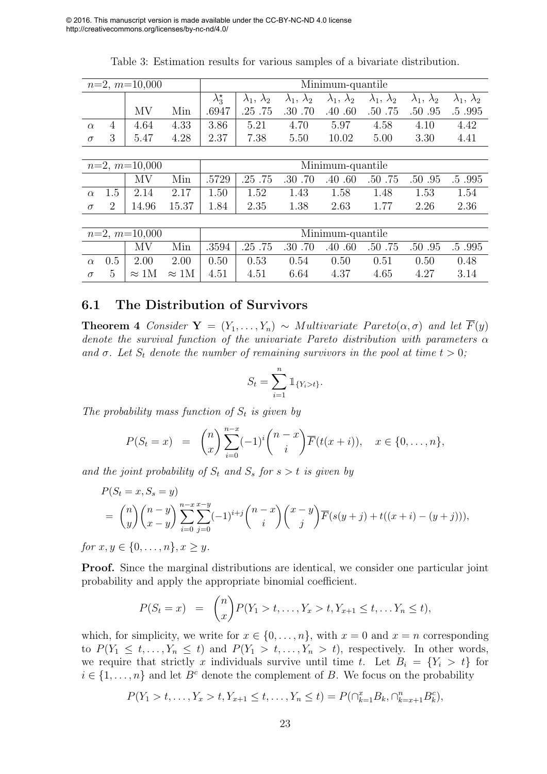|                 |                | $n=2, m=10,000$ |       | Minimum-quantile    |                        |                             |                        |                             |                        |                        |  |  |
|-----------------|----------------|-----------------|-------|---------------------|------------------------|-----------------------------|------------------------|-----------------------------|------------------------|------------------------|--|--|
|                 |                |                 |       | $\lambda_3^{\star}$ | $\lambda_1, \lambda_2$ | $\lambda_2$<br>$\lambda_1,$ | $\lambda_1, \lambda_2$ | $\lambda_2$<br>$\lambda_1,$ | $\lambda_1, \lambda_2$ | $\lambda_1, \lambda_2$ |  |  |
|                 |                | MV              | Min   | .6947               | .25.75                 | .30.70                      | .40.60                 | .50 .75                     | .50 .95                | .5.995                 |  |  |
| $\alpha$        | 4              | 4.64            | 4.33  | 3.86                | 5.21                   | 4.70                        | 5.97                   | 4.58                        | 4.10                   | 4.42                   |  |  |
| $\sigma$        | 3              | 5.47            | 4.28  | 2.37                | 7.38                   | 5.50                        | 10.02                  | 5.00                        | 3.30                   | 4.41                   |  |  |
|                 |                |                 |       |                     |                        |                             |                        |                             |                        |                        |  |  |
|                 |                | $n=2, m=10,000$ |       | Minimum-quantile    |                        |                             |                        |                             |                        |                        |  |  |
|                 |                | MV              | Min   | .5729               | .25.75                 | .70<br>.30                  | .40<br>.60             | .50 .75                     | .50 .95                | .5.995                 |  |  |
| $\alpha$        | 1.5            | 2.14            | 2.17  | 1.50                | 1.52                   | 1.43                        | 1.58                   | 1.48                        | 1.53                   | 1.54                   |  |  |
| $\sigma$        | $\overline{2}$ | 14.96           | 15.37 | 1.84                | 2.35                   | 1.38                        | 2.63                   | 1.77                        | 2.26                   | 2.36                   |  |  |
|                 |                |                 |       |                     |                        |                             |                        |                             |                        |                        |  |  |
| $n=2, m=10,000$ |                |                 |       | Minimum-quantile    |                        |                             |                        |                             |                        |                        |  |  |
|                 |                | MV              | Min   | .3594               | .25.75                 | .70<br>.30                  | .40<br>.60             | .50 .75                     | .50 .95                | .5.995                 |  |  |
| $\alpha$        | 0.5            | 2.00            | 2.00  | 0.50                | 0.53                   | 0.54                        | 0.50                   | 0.51                        | 0.50                   | 0.48                   |  |  |
|                 |                |                 |       |                     |                        |                             |                        |                             |                        |                        |  |  |

Table 3: Estimation results for various samples of a bivariate distribution.

#### 6.1 The Distribution of Survivors

**Theorem 4** *Consider*  $Y = (Y_1, \ldots, Y_n) \sim Multivariate$  *Pareto* $(\alpha, \sigma)$  *and let*  $\overline{F}(y)$ *denote the survival function of the univariate Pareto distribution with parameters* α and  $\sigma$ . Let  $S_t$  denote the number of remaining survivors in the pool at time  $t > 0$ ;

 $\sigma$  5  $\approx$  1M  $\approx$  1M  $4.51$  4.51 6.64 4.37 4.65 4.27 3.14

$$
S_t = \sum_{i=1}^n \mathbb{1}_{\{Y_i > t\}}.
$$

The probability mass function of  $S_t$  *is given by* 

$$
P(S_t = x) = {n \choose x} \sum_{i=0}^{n-x} (-1)^i {n-x \choose i} \overline{F}(t(x+i)), \quad x \in \{0, ..., n\},
$$

and the joint probability of  $S_t$  and  $S_s$  for  $s > t$  is given by

$$
P(S_t = x, S_s = y)
$$
  
=  $\binom{n}{y} \binom{n-y}{x-y} \sum_{i=0}^{n-x} \sum_{j=0}^{x-y} (-1)^{i+j} \binom{n-x}{i} \binom{x-y}{j} \overline{F}(s(y+j) + t((x+i) - (y+j))),$ 

*for*  $x, y \in \{0, \ldots, n\}, x > y$ .

Proof. Since the marginal distributions are identical, we consider one particular joint probability and apply the appropriate binomial coefficient.

$$
P(S_t = x) = {n \choose x} P(Y_1 > t, \dots, Y_x > t, Y_{x+1} \le t, \dots Y_n \le t),
$$

which, for simplicity, we write for  $x \in \{0, \ldots, n\}$ , with  $x = 0$  and  $x = n$  corresponding to  $P(Y_1 \leq t, \ldots, Y_n \leq t)$  and  $P(Y_1 > t, \ldots, Y_n > t)$ , respectively. In other words, we require that strictly x individuals survive until time t. Let  $B_i = \{Y_i > t\}$  for  $i \in \{1, \ldots, n\}$  and let  $B^c$  denote the complement of B. We focus on the probability

$$
P(Y_1 > t, \ldots, Y_x > t, Y_{x+1} \le t, \ldots, Y_n \le t) = P(\bigcap_{k=1}^x B_k, \bigcap_{k=x+1}^n B_k^c),
$$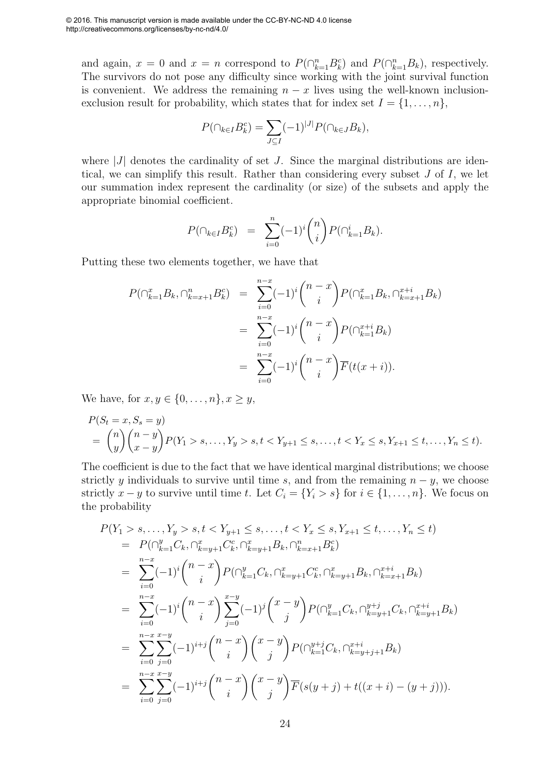and again,  $x = 0$  and  $x = n$  correspond to  $P(\bigcap_{k=1}^{n} B_k^c)$  and  $P(\bigcap_{k=1}^{n} B_k)$ , respectively. The survivors do not pose any difficulty since working with the joint survival function is convenient. We address the remaining  $n - x$  lives using the well-known inclusionexclusion result for probability, which states that for index set  $I = \{1, \ldots, n\}$ ,

$$
P(\cap_{k\in I}B_k^c)=\sum_{J\subseteq I}(-1)^{|J|}P(\cap_{k\in J}B_k),
$$

where  $|J|$  denotes the cardinality of set J. Since the marginal distributions are identical, we can simplify this result. Rather than considering every subset J of I, we let our summation index represent the cardinality (or size) of the subsets and apply the appropriate binomial coefficient.

$$
P(\cap_{k \in I} B_k^c) = \sum_{i=0}^n (-1)^i \binom{n}{i} P(\cap_{k=1}^i B_k).
$$

Putting these two elements together, we have that

$$
P(\bigcap_{k=1}^{x} B_k, \bigcap_{k=x+1}^{n} B_k^c) = \sum_{i=0}^{n-x} (-1)^i {n-x \choose i} P(\bigcap_{k=1}^{x} B_k, \bigcap_{k=x+1}^{x+i} B_k)
$$
  

$$
= \sum_{i=0}^{n-x} (-1)^i {n-x \choose i} P(\bigcap_{k=1}^{x+i} B_k)
$$
  

$$
= \sum_{i=0}^{n-x} (-1)^i {n-x \choose i} \overline{F}(t(x+i)).
$$

We have, for  $x, y \in \{0, \ldots, n\}, x \geq y$ ,

$$
P(S_t = x, S_s = y)
$$
  
=  $\binom{n}{y} \binom{n-y}{x-y} P(Y_1 > s, \dots, Y_y > s, t < Y_{y+1} \le s, \dots, t < Y_x \le s, Y_{x+1} \le t, \dots, Y_n \le t).$ 

The coefficient is due to the fact that we have identical marginal distributions; we choose strictly y individuals to survive until time s, and from the remaining  $n - y$ , we choose strictly  $x - y$  to survive until time t. Let  $C_i = \{Y_i > s\}$  for  $i \in \{1, ..., n\}$ . We focus on the probability

$$
P(Y_1 > s, \ldots, Y_y > s, t < Y_{y+1} \leq s, \ldots, t < Y_x \leq s, Y_{x+1} \leq t, \ldots, Y_n \leq t) = P(\bigcap_{k=1}^y C_k, \bigcap_{k=y+1}^x C_k^c, \bigcap_{k=y+1}^x B_k, \bigcap_{k=x+1}^n B_k^c) = \sum_{i=0}^{n-x} (-1)^i {n-x \choose i} P(\bigcap_{k=1}^y C_k, \bigcap_{k=y+1}^x C_k^c, \bigcap_{k=y+1}^x B_k, \bigcap_{k=x+1}^{x+i} B_k) = \sum_{i=0}^{n-x} (-1)^i {n-x \choose i} \sum_{j=0}^{x-y} (-1)^j {x-y \choose j} P(\bigcap_{k=1}^y C_k, \bigcap_{k=y+1}^{y+j} C_k, \bigcap_{k=y+1}^{x+i} B_k) = \sum_{i=0}^{n-x} \sum_{j=0}^{x-y} (-1)^{i+j} {n-x \choose i} {x-y \choose j} P(\bigcap_{k=1}^{y+j} C_k, \bigcap_{k=y+j+1}^{x+i} B_k) = \sum_{i=0}^{n-x} \sum_{j=0}^{x-y} (-1)^{i+j} {n-x \choose i} {x-y \choose j} \overline{F}(s(y+j) + t((x+i) - (y+j))).
$$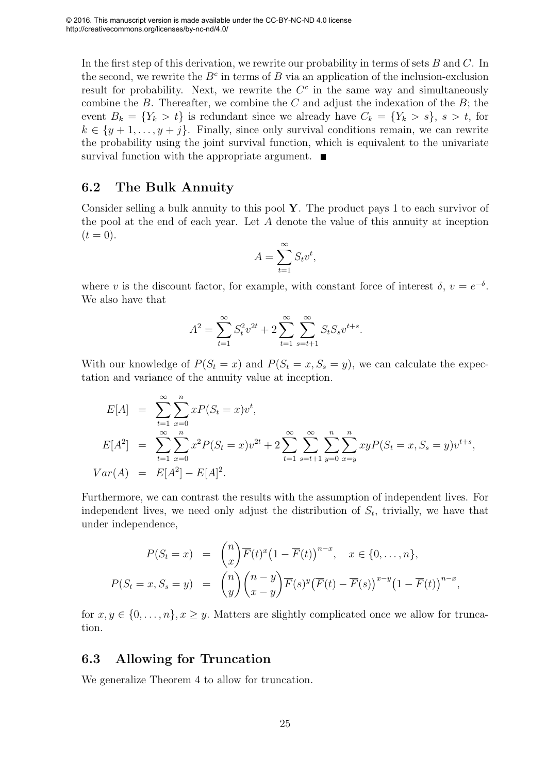In the first step of this derivation, we rewrite our probability in terms of sets  $B$  and  $C$ . In the second, we rewrite the  $B<sup>c</sup>$  in terms of B via an application of the inclusion-exclusion result for probability. Next, we rewrite the  $C<sup>c</sup>$  in the same way and simultaneously combine the  $B$ . Thereafter, we combine the  $C$  and adjust the indexation of the  $B$ ; the event  $B_k = \{Y_k > t\}$  is redundant since we already have  $C_k = \{Y_k > s\}, s > t$ , for  $k \in \{y+1,\ldots,y+j\}$ . Finally, since only survival conditions remain, we can rewrite the probability using the joint survival function, which is equivalent to the univariate survival function with the appropriate argument.  $\blacksquare$ 

#### 6.2 The Bulk Annuity

Consider selling a bulk annuity to this pool  $\mathbf{Y}$ . The product pays 1 to each survivor of the pool at the end of each year. Let A denote the value of this annuity at inception  $(t = 0).$ 

$$
A = \sum_{t=1}^{\infty} S_t v^t,
$$

where v is the discount factor, for example, with constant force of interest  $\delta, v = e^{-\delta}$ . We also have that

$$
A^{2} = \sum_{t=1}^{\infty} S_{t}^{2} v^{2t} + 2 \sum_{t=1}^{\infty} \sum_{s=t+1}^{\infty} S_{t} S_{s} v^{t+s}.
$$

With our knowledge of  $P(S_t = x)$  and  $P(S_t = x, S_s = y)$ , we can calculate the expectation and variance of the annuity value at inception.

$$
E[A] = \sum_{t=1}^{\infty} \sum_{x=0}^{n} xP(S_t = x)v^t,
$$
  
\n
$$
E[A^2] = \sum_{t=1}^{\infty} \sum_{x=0}^{n} x^2 P(S_t = x)v^{2t} + 2 \sum_{t=1}^{\infty} \sum_{s=t+1}^{\infty} \sum_{y=0}^{n} \sum_{x=y}^{n} xyP(S_t = x, S_s = y)v^{t+s},
$$
  
\n
$$
Var(A) = E[A^2] - E[A]^2.
$$

Furthermore, we can contrast the results with the assumption of independent lives. For independent lives, we need only adjust the distribution of  $S_t$ , trivially, we have that under independence,

$$
P(S_t = x) = {n \choose x} \overline{F}(t)^x (1 - \overline{F}(t))^{n-x}, \quad x \in \{0, \dots, n\},
$$
  

$$
P(S_t = x, S_s = y) = {n \choose y} {n-y \choose x-y} \overline{F}(s)^y (\overline{F}(t) - \overline{F}(s))^{x-y} (1 - \overline{F}(t))^{n-x},
$$

for  $x, y \in \{0, \ldots, n\}, x \geq y$ . Matters are slightly complicated once we allow for truncation.

#### 6.3 Allowing for Truncation

We generalize Theorem 4 to allow for truncation.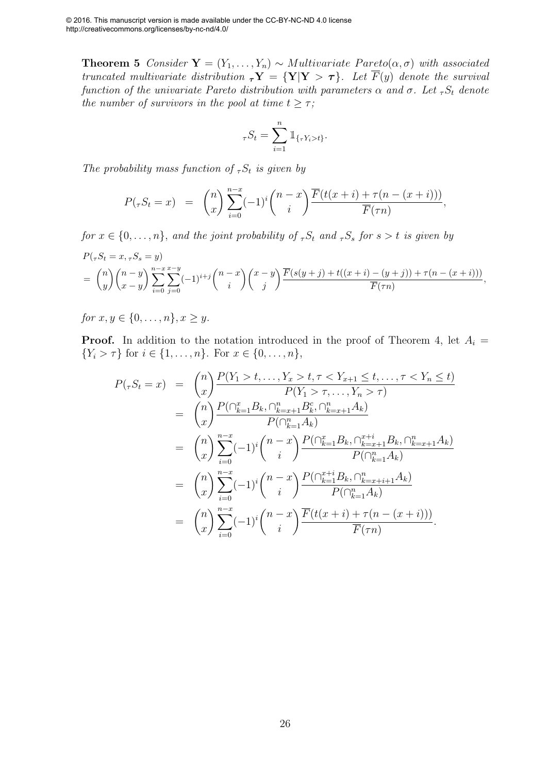**Theorem 5** *Consider*  $Y = (Y_1, \ldots, Y_n) \sim Multivariate$  *Pareto* $(\alpha, \sigma)$  *with associated truncated multivariate distribution*  $\tau Y = \{Y|Y > \tau\}$ *. Let*  $\overline{F}(y)$  *denote the survival function of the univariate Pareto distribution with parameters*  $\alpha$  *and*  $\sigma$ *. Let*  ${}_{\tau}S_t$  *denote the number of survivors in the pool at time*  $t \geq \tau$ ;

$$
{}_{\tau}S_t = \sum_{i=1}^n \mathbb{1}_{\{\tau Y_i > t\}}.
$$

*The probability mass function of*  ${}_{\tau}S_t$  *is given by* 

$$
P(\tau S_t = x) = {n \choose x} \sum_{i=0}^{n-x} (-1)^i {n-x \choose i} \frac{\overline{F}(t(x+i) + \tau (n - (x+i)))}{\overline{F}(\tau n)},
$$

*for*  $x \in \{0, \ldots, n\}$ , *and the joint probability of*  ${}_T S_t$  *and*  ${}_T S_s$  *for*  $s > t$  *is given by* 

$$
P(\tau S_t = x, \tau S_s = y)
$$
  
=  $\binom{n}{y} \binom{n-y}{x-y} \sum_{i=0}^{n-x} \sum_{j=0}^{x-y} (-1)^{i+j} \binom{n-x}{i} \binom{x-y}{j} \frac{\overline{F}(s(y+j) + t((x+i) - (y+j)) + \tau(n - (x+i)))}{\overline{F}(\tau n)},$ 

*for*  $x, y \in \{0, \ldots, n\}, x > y$ .

**Proof.** In addition to the notation introduced in the proof of Theorem 4, let  $A_i =$  $\{Y_i > \tau\}$  for  $i \in \{1, \ldots, n\}$ . For  $x \in \{0, \ldots, n\}$ ,

$$
P(\tau S_t = x) = {n \choose x} \frac{P(Y_1 > t, \dots, Y_x > t, \tau < Y_{x+1} \le t, \dots, \tau < Y_n \le t)}{P(Y_1 > \tau, \dots, Y_n > \tau)}
$$
  
\n
$$
= {n \choose x} \frac{P(\bigcap_{k=1}^x B_k, \bigcap_{k=x+1}^n B_k^c, \bigcap_{k=x+1}^n A_k)}{P(\bigcap_{k=1}^n A_k)}
$$
  
\n
$$
= {n \choose x} \sum_{i=0}^{n-x} (-1)^i {n-x \choose i} \frac{P(\bigcap_{k=1}^x B_k, \bigcap_{k=x+1}^{x+i} B_k, \bigcap_{k=x+1}^n A_k)}{P(\bigcap_{k=1}^n A_k)}
$$
  
\n
$$
= {n \choose x} \sum_{i=0}^{n-x} (-1)^i {n-x \choose i} \frac{P(\bigcap_{k=1}^{x+i} B_k, \bigcap_{k=x+i+1}^n A_k)}{P(\bigcap_{k=1}^n A_k)}
$$
  
\n
$$
= {n \choose x} \sum_{i=0}^{n-x} (-1)^i {n-x \choose i} \frac{\overline{F}(t(x+i) + \tau(n - (x + i)))}{\overline{F}(\tau n)}.
$$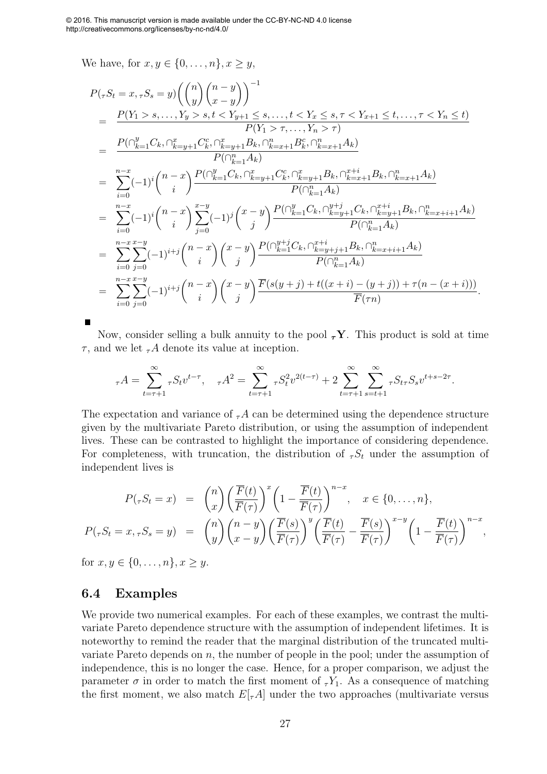We have, for  $x, y \in \{0, \ldots, n\}, x \geq y$ ,

$$
P(\tau S_t = x, \tau S_s = y) \left( {n \choose y} {n - y \choose x - y} \right)^{-1}
$$
  
\n
$$
= \frac{P(Y_1 > s, ..., Y_y > s, t < Y_{y+1} \le s, ..., t < Y_x \le s, \tau < Y_{x+1} \le t, ..., \tau < Y_n \le t)}{P(Y_1 > \tau, ..., Y_n > \tau)}
$$
  
\n
$$
= \frac{P(\bigcap_{k=1}^y C_k, \bigcap_{k=y+1}^x C_k^c, \bigcap_{k=y+1}^x B_k, \bigcap_{k=x+1}^n B_k^c, \bigcap_{k=x+1}^n A_k)}{P(\bigcap_{k=1}^n A_k)}
$$
  
\n
$$
= \sum_{i=0}^{n-x} (-1)^i {n-x \choose i} \frac{P(\bigcap_{k=1}^y C_k, \bigcap_{k=y+1}^x C_k^c, \bigcap_{k=y+1}^x B_k, \bigcap_{k=x+1}^{x+i} B_k, \bigcap_{k=x+1}^n A_k)}{P(\bigcap_{k=1}^n A_k)}
$$
  
\n
$$
= \sum_{i=0}^{n-x} (-1)^i {n-x \choose i} \sum_{j=0}^{x-y} (-1)^j {x-y \choose j} \frac{P(\bigcap_{k=1}^y C_k, \bigcap_{k=y+1}^y C_k, \bigcap_{k=y+1}^{x+i} B_k, \bigcap_{k=x+i+1}^n A_k)}{P(\bigcap_{k=1}^n A_k)}
$$
  
\n
$$
= \sum_{i=0}^{n-x} \sum_{j=0}^{x-y} (-1)^{i+j} {n-x \choose i} {x-y \choose j} \frac{P(\bigcap_{k=1}^{y+j} C_k, \bigcap_{k=y+j+1}^{x+i} B_k, \bigcap_{k=x+i+1}^n A_k)}{P(\bigcap_{k=1}^n A_k)}
$$
  
\n
$$
= \sum_{i=0}^{n-x} \sum_{j=0}^{x-y} (-1)^{i+j} {n-x \choose i} {x-y \choose j} \frac{\overline{F}(s(y+j) + t((x+i) - (y+j)) + \tau(n - (x+i)))}{\overline{F}(\tau n)}
$$

Now, consider selling a bulk annuity to the pool  $\tau Y$ . This product is sold at time  $\tau$ , and we let  $\tau A$  denote its value at inception.

.

$$
_{\tau}A = \sum_{t=\tau+1}^{\infty} {}_{\tau}S_t v^{t-\tau}, \quad {}_{\tau}A^2 = \sum_{t=\tau+1}^{\infty} {}_{\tau}S_t^2 v^{2(t-\tau)} + 2 \sum_{t=\tau+1}^{\infty} \sum_{s=t+1}^{\infty} {}_{\tau}S_{t\tau}S_s v^{t+s-2\tau}.
$$

The expectation and variance of  ${}_{\tau}A$  can be determined using the dependence structure given by the multivariate Pareto distribution, or using the assumption of independent lives. These can be contrasted to highlight the importance of considering dependence. For completeness, with truncation, the distribution of  ${}_{\tau}S_t$  under the assumption of independent lives is

$$
P(\tau S_t = x) = {n \choose x} \left(\frac{\overline{F}(t)}{\overline{F}(\tau)}\right)^x \left(1 - \frac{\overline{F}(t)}{\overline{F}(\tau)}\right)^{n-x}, \quad x \in \{0, \dots, n\},
$$
  

$$
P(\tau S_t = x, \tau S_s = y) = {n \choose y} {n-y \choose x-y} \left(\frac{\overline{F}(s)}{\overline{F}(\tau)}\right)^y \left(\frac{\overline{F}(t)}{\overline{F}(\tau)} - \frac{\overline{F}(s)}{\overline{F}(\tau)}\right)^{x-y} \left(1 - \frac{\overline{F}(t)}{\overline{F}(\tau)}\right)^{n-x},
$$

for  $x, y \in \{0, \ldots, n\}, x > y$ .

#### 6.4 Examples

We provide two numerical examples. For each of these examples, we contrast the multivariate Pareto dependence structure with the assumption of independent lifetimes. It is noteworthy to remind the reader that the marginal distribution of the truncated multivariate Pareto depends on  $n$ , the number of people in the pool; under the assumption of independence, this is no longer the case. Hence, for a proper comparison, we adjust the parameter  $\sigma$  in order to match the first moment of  ${}_T Y_1$ . As a consequence of matching the first moment, we also match  $E[\tau A]$  under the two approaches (multivariate versus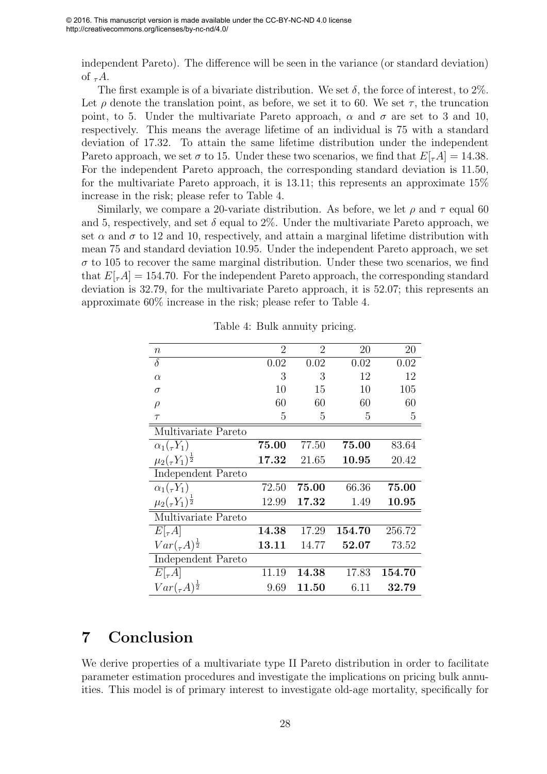independent Pareto). The difference will be seen in the variance (or standard deviation) of  $_{\tau}A$ .

The first example is of a bivariate distribution. We set  $\delta$ , the force of interest, to 2%. Let  $\rho$  denote the translation point, as before, we set it to 60. We set  $\tau$ , the truncation point, to 5. Under the multivariate Pareto approach,  $\alpha$  and  $\sigma$  are set to 3 and 10, respectively. This means the average lifetime of an individual is 75 with a standard deviation of 17.32. To attain the same lifetime distribution under the independent Pareto approach, we set  $\sigma$  to 15. Under these two scenarios, we find that  $E[\tau A] = 14.38$ . For the independent Pareto approach, the corresponding standard deviation is 11.50, for the multivariate Pareto approach, it is 13.11; this represents an approximate 15% increase in the risk; please refer to Table 4.

Similarly, we compare a 20-variate distribution. As before, we let  $\rho$  and  $\tau$  equal 60 and 5, respectively, and set  $\delta$  equal to 2%. Under the multivariate Pareto approach, we set  $\alpha$  and  $\sigma$  to 12 and 10, respectively, and attain a marginal lifetime distribution with mean 75 and standard deviation 10.95. Under the independent Pareto approach, we set  $\sigma$  to 105 to recover the same marginal distribution. Under these two scenarios, we find that  $E[\tau A] = 154.70$ . For the independent Pareto approach, the corresponding standard deviation is 32.79, for the multivariate Pareto approach, it is 52.07; this represents an approximate 60% increase in the risk; please refer to Table 4.

| $\boldsymbol{n}$                | $\overline{2}$ | $\overline{2}$ | 20     | 20     |
|---------------------------------|----------------|----------------|--------|--------|
| $\delta$                        | 0.02           | 0.02           | 0.02   | 0.02   |
| $\alpha$                        | 3              | 3              | 12     | 12     |
| $\sigma$                        | 10             | 15             | 10     | 105    |
| $\rho$                          | 60             | 60             | 60     | 60     |
| $\tau$                          | 5              | 5              | 5      | 5      |
| Multivariate Pareto             |                |                |        |        |
| $\alpha_1(\tau Y_1)$            | 75.00          | 77.50          | 75.00  | 83.64  |
| $\mu_2(\tau Y_1)^{\frac{1}{2}}$ | 17.32          | 21.65          | 10.95  | 20.42  |
| Independent Pareto              |                |                |        |        |
| $\alpha_1(\tau Y_1)$            | 72.50          | 75.00          | 66.36  | 75.00  |
| $\mu_2(\tau Y_1)^{\frac{1}{2}}$ | 12.99          | 17.32          | 1.49   | 10.95  |
| Multivariate Pareto             |                |                |        |        |
| $E[\tau A]$                     | 14.38          | 17.29          | 154.70 | 256.72 |
| $Var(_{\tau}A)^{\frac{1}{2}}$   | 13.11          | 14.77          | 52.07  | 73.52  |
| Independent Pareto              |                |                |        |        |
| $E[\tau A]$                     | 11.19          | 14.38          | 17.83  | 154.70 |
| $Var(\tau A)^{\frac{1}{2}}$     | 9.69           | 11.50          | 6.11   | 32.79  |

Table 4: Bulk annuity pricing.

## 7 Conclusion

We derive properties of a multivariate type II Pareto distribution in order to facilitate parameter estimation procedures and investigate the implications on pricing bulk annuities. This model is of primary interest to investigate old-age mortality, specifically for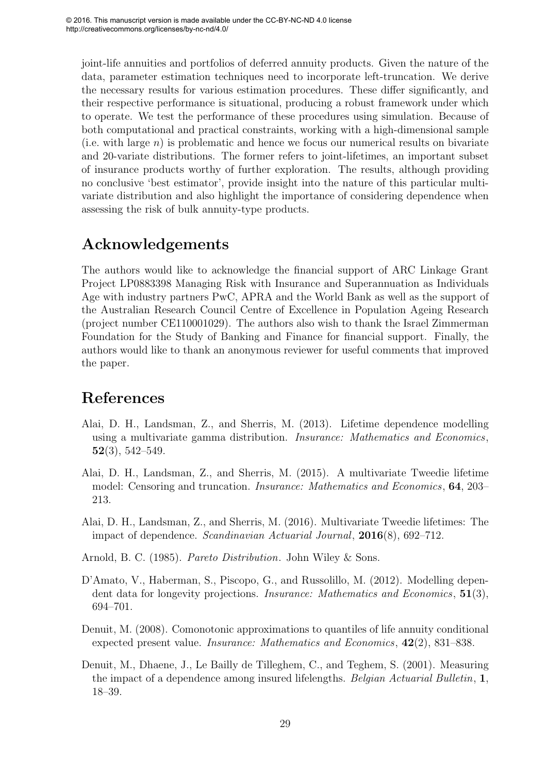joint-life annuities and portfolios of deferred annuity products. Given the nature of the data, parameter estimation techniques need to incorporate left-truncation. We derive the necessary results for various estimation procedures. These differ significantly, and their respective performance is situational, producing a robust framework under which to operate. We test the performance of these procedures using simulation. Because of both computational and practical constraints, working with a high-dimensional sample (i.e. with large  $n$ ) is problematic and hence we focus our numerical results on bivariate and 20-variate distributions. The former refers to joint-lifetimes, an important subset of insurance products worthy of further exploration. The results, although providing no conclusive 'best estimator', provide insight into the nature of this particular multivariate distribution and also highlight the importance of considering dependence when assessing the risk of bulk annuity-type products.

## Acknowledgements

The authors would like to acknowledge the financial support of ARC Linkage Grant Project LP0883398 Managing Risk with Insurance and Superannuation as Individuals Age with industry partners PwC, APRA and the World Bank as well as the support of the Australian Research Council Centre of Excellence in Population Ageing Research (project number CE110001029). The authors also wish to thank the Israel Zimmerman Foundation for the Study of Banking and Finance for financial support. Finally, the authors would like to thank an anonymous reviewer for useful comments that improved the paper.

## References

- Alai, D. H., Landsman, Z., and Sherris, M. (2013). Lifetime dependence modelling using a multivariate gamma distribution. *Insurance: Mathematics and Economics*,  $52(3), 542-549.$
- Alai, D. H., Landsman, Z., and Sherris, M. (2015). A multivariate Tweedie lifetime model: Censoring and truncation. *Insurance: Mathematics and Economics*, 64, 203– 213.
- Alai, D. H., Landsman, Z., and Sherris, M. (2016). Multivariate Tweedie lifetimes: The impact of dependence. *Scandinavian Actuarial Journal*, 2016(8), 692–712.
- Arnold, B. C. (1985). *Pareto Distribution*. John Wiley & Sons.
- D'Amato, V., Haberman, S., Piscopo, G., and Russolillo, M. (2012). Modelling dependent data for longevity projections. *Insurance: Mathematics and Economics*, 51(3), 694–701.
- Denuit, M. (2008). Comonotonic approximations to quantiles of life annuity conditional expected present value. *Insurance: Mathematics and Economics*, 42(2), 831–838.
- Denuit, M., Dhaene, J., Le Bailly de Tilleghem, C., and Teghem, S. (2001). Measuring the impact of a dependence among insured lifelengths. *Belgian Actuarial Bulletin*, 1, 18–39.